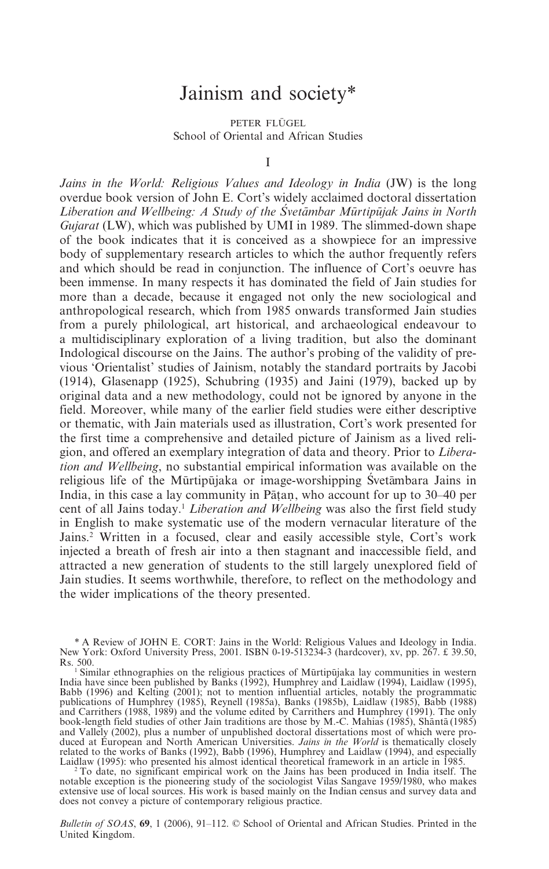## Jainism and society\*

PETER FLÜGEL School of Oriental and African Studies

I

*Jains in the World: Religious Values and Ideology in India* (JW) is the long overdue book version of John E. Cort's widely acclaimed doctoral dissertation *Liberation and Wellbeing: A Study of the Svetāmbar Mūrtipūjak Jains in North Gujarat* (LW), which was published by UMI in 1989. The slimmed-down shape of the book indicates that it is conceived as a showpiece for an impressive body of supplementary research articles to which the author frequently refers and which should be read in conjunction. The influence of Cort's oeuvre has been immense. In many respects it has dominated the field of Jain studies for more than a decade, because it engaged not only the new sociological and anthropological research, which from 1985 onwards transformed Jain studies from a purely philological, art historical, and archaeological endeavour to a multidisciplinary exploration of a living tradition, but also the dominant Indological discourse on the Jains. The author's probing of the validity of previous 'Orientalist' studies of Jainism, notably the standard portraits by Jacobi (1914), Glasenapp (1925), Schubring (1935) and Jaini (1979), backed up by original data and a new methodology, could not be ignored by anyone in the field. Moreover, while many of the earlier field studies were either descriptive or thematic, with Jain materials used as illustration, Cort's work presented for the first time a comprehensive and detailed picture of Jainism as a lived religion, and offered an exemplary integration of data and theory. Prior to *Liberation and Wellbeing*, no substantial empirical information was available on the religious life of the Mūrtipūjaka or image-worshipping Svetāmbara Jains in India, in this case a lay community in Patan, who account for up to  $30-40$  per cent of all Jains today.<sup>1</sup> *Liberation and Wellbeing* was also the first field study in English to make systematic use of the modern vernacular literature of the Jains.2 Written in a focused, clear and easily accessible style, Cort's work injected a breath of fresh air into a then stagnant and inaccessible field, and attracted a new generation of students to the still largely unexplored field of Jain studies. It seems worthwhile, therefore, to reflect on the methodology and the wider implications of the theory presented.

<sup>\*</sup> A Review of JOHN E. CORT: Jains in the World: Religious Values and Ideology in India. New York: Oxford University Press, 2001. ISBN 0-19-513234-3 (hardcover), xv, pp. 267. £ 39.50,

Rs. 500.<br><sup>1</sup> Similar ethnographies on the religious practices of Mürtipüjaka lay communities in western<br>India have since been published by Banks (1992), Humphrey and Laidlaw (1994), Laidlaw (1995), Babb (1996) and Kelting (2001); not to mention influential articles, notably the programmatic publications of Humphrey (1985), Reynell (1985a), Banks (1985b), Laidlaw (1985), Babb (1988) and Carrithers (1988, 1989) and the volume edited by Carrithers and Humphrey (1991). The only book-length field studies of other Jain traditions are those by M.-C. Mahias (1985), Shanta (1985) and Vallely (2002), plus a number of unpublished doctoral dissertations most of which were produced at European and North American Universities. *Jains in the World* is thematically closely related to the works of Banks (1992), Babb (1996), Humphrey and Laidlaw (1994), and especially Laidlaw (1995): who presented his almost identical theoretical framework in an article in 1985.

 $2$  To date, no significant empirical work on the Jains has been produced in India itself. The notable exception is the pioneering study of the sociologist Vilas Sangave 1959/1980, who makes extensive use of local sources. His work is based mainly on the Indian census and survey data and does not convey a picture of contemporary religious practice.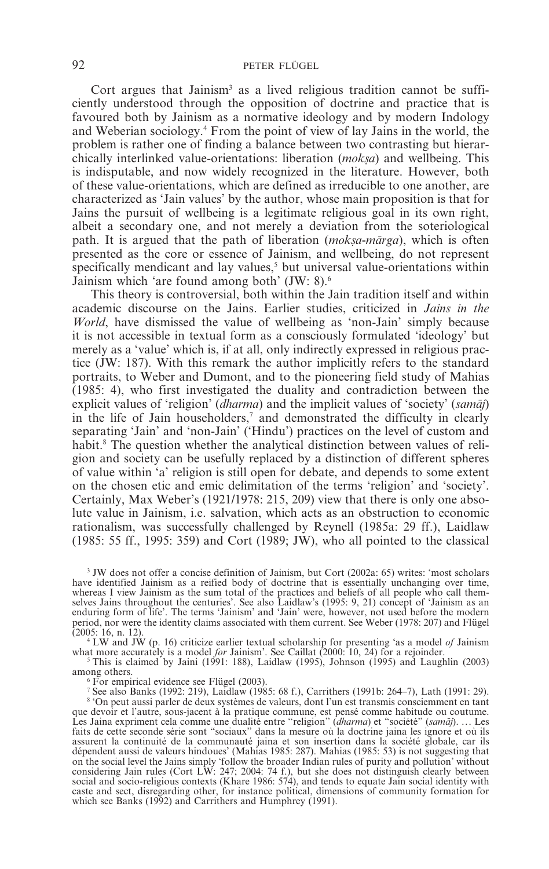Cort argues that Jainism<sup>3</sup> as a lived religious tradition cannot be sufficiently understood through the opposition of doctrine and practice that is favoured both by Jainism as a normative ideology and by modern Indology and Weberian sociology.4 From the point of view of lay Jains in the world, the problem is rather one of finding a balance between two contrasting but hierarchically interlinked value-orientations: liberation *(moksa)* and wellbeing. This is indisputable, and now widely recognized in the literature. However, both of these value-orientations, which are defined as irreducible to one another, are characterized as 'Jain values' by the author, whose main proposition is that for Jains the pursuit of wellbeing is a legitimate religious goal in its own right, albeit a secondary one, and not merely a deviation from the soteriological path. It is argued that the path of liberation (*moksa-mārga*), which is often presented as the core or essence of Jainism, and wellbeing, do not represent specifically mendicant and lay values,<sup>5</sup> but universal value-orientations within Jainism which 'are found among both' (JW: 8).6

This theory is controversial, both within the Jain tradition itself and within academic discourse on the Jains. Earlier studies, criticized in *Jains in the World*, have dismissed the value of wellbeing as 'non-Jain' simply because it is not accessible in textual form as a consciously formulated 'ideology' but merely as a 'value' which is, if at all, only indirectly expressed in religious practice (JW: 187). With this remark the author implicitly refers to the standard portraits, to Weber and Dumont, and to the pioneering field study of Mahias (1985: 4), who first investigated the duality and contradiction between the explicit values of 'religion' (*dharma*) and the implicit values of 'society' (*samaj*) in the life of Jain householders, $\alpha$  and demonstrated the difficulty in clearly separating 'Jain' and 'non-Jain' ('Hindu') practices on the level of custom and habit.<sup>8</sup> The question whether the analytical distinction between values of religion and society can be usefully replaced by a distinction of different spheres of value within 'a' religion is still open for debate, and depends to some extent on the chosen etic and emic delimitation of the terms 'religion' and 'society'. Certainly, Max Weber's (1921/1978: 215, 209) view that there is only one absolute value in Jainism, i.e. salvation, which acts as an obstruction to economic rationalism, was successfully challenged by Reynell (1985a: 29 ff.), Laidlaw (1985: 55 ff., 1995: 359) and Cort (1989; JW), who all pointed to the classical

<sup>3</sup> JW does not offer a concise definition of Jainism, but Cort (2002a: 65) writes: 'most scholars have identified Jainism as a reified body of doctrine that is essentially unchanging over time, whereas I view Jainism as the sum total of the practices and beliefs of all people who call them-selves Jains throughout the centuries'. See also Laidlaw's (1995: 9, 21) concept of 'Jainism as an enduring form of life'. The terms 'Jainism' and 'Jain' were, however, not used before the modern period, nor were the identity claims associated with them current. See Weber (1978: 207) and Flügel (2005: 16, n. 12).

 $4 \text{ LW}$  and JW (p. 16) criticize earlier textual scholarship for presenting 'as a model *of* Jainism

what more accurately is a model *for* Jainism'. See Caillat (2000: 10, 24) for a rejoinder.<br><sup>5</sup> This is claimed by Jaini (1991: 188), Laidlaw (1995), Johnson (1995) and Laughlin (2003) among others.

 $6$  For empirical evidence see Flügel (2003).

<sup>7</sup> See also Banks (1992: 219), Laidlaw (1985: 68 f.), Carrithers (1991b: 264–7), Lath (1991: 29).

<sup>8</sup> 'On peut aussi parler de deux systèmes de valeurs, dont l'un est transmis consciemment en tant que devoir et l'autre, sous-jacent à la pratique commune, est pensé comme habitude ou coutume. Les Jaina expriment cela comme une dualité entre "religion" (*dharma*) et "société" (*sama*m*j*). ... Les faits de cette seconde série sont "sociaux" dans la mesure où la doctrine jaina les ignore et où ils assurent la continuité de la communauté jaina et son insertion dans la société globale, car ils dépendent aussi de valeurs hindoues' (Mahias 1985: 287). Mahias (1985: 53) is not suggesting that on the social level the Jains simply 'follow the broader Indian rules of purity and pollution' without considering Jain rules (Cort LW: 247; 2004: 74 f.), but she does not distinguish clearly between social and socio-religious contexts (Khare 1986: 574), and tends to equate Jain social identity with caste and sect, disregarding other, for instance political, dimensions of community formation for which see Banks (1992) and Carrithers and Humphrey (1991).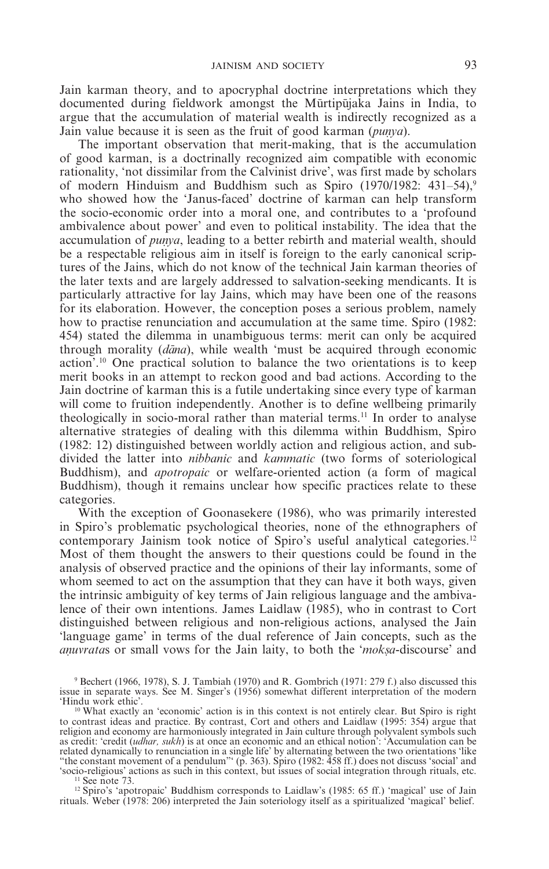Jain karman theory, and to apocryphal doctrine interpretations which they documented during fieldwork amongst the Mūrtipūjaka Jains in India, to argue that the accumulation of material wealth is indirectly recognized as a Jain value because it is seen as the fruit of good karman (*punya*).

The important observation that merit-making, that is the accumulation of good karman, is a doctrinally recognized aim compatible with economic rationality, 'not dissimilar from the Calvinist drive', was first made by scholars of modern Hinduism and Buddhism such as Spiro  $(1970/1982: 431-54)$ ,<sup>9</sup> who showed how the 'Janus-faced' doctrine of karman can help transform the socio-economic order into a moral one, and contributes to a 'profound ambivalence about power' and even to political instability. The idea that the accumulation of *punya*, leading to a better rebirth and material wealth, should be a respectable religious aim in itself is foreign to the early canonical scriptures of the Jains, which do not know of the technical Jain karman theories of the later texts and are largely addressed to salvation-seeking mendicants. It is particularly attractive for lay Jains, which may have been one of the reasons for its elaboration. However, the conception poses a serious problem, namely how to practise renunciation and accumulation at the same time. Spiro (1982: 454) stated the dilemma in unambiguous terms: merit can only be acquired through morality (*dana*), while wealth 'must be acquired through economic action'.10 One practical solution to balance the two orientations is to keep merit books in an attempt to reckon good and bad actions. According to the Jain doctrine of karman this is a futile undertaking since every type of karman will come to fruition independently. Another is to define wellbeing primarily theologically in socio-moral rather than material terms.<sup>11</sup> In order to analyse alternative strategies of dealing with this dilemma within Buddhism, Spiro (1982: 12) distinguished between worldly action and religious action, and subdivided the latter into *nibbanic* and *kammatic* (two forms of soteriological Buddhism), and *apotropaic* or welfare-oriented action (a form of magical Buddhism), though it remains unclear how specific practices relate to these categories.

With the exception of Goonasekere (1986), who was primarily interested in Spiro's problematic psychological theories, none of the ethnographers of contemporary Jainism took notice of Spiro's useful analytical categories.12 Most of them thought the answers to their questions could be found in the analysis of observed practice and the opinions of their lay informants, some of whom seemed to act on the assumption that they can have it both ways, given the intrinsic ambiguity of key terms of Jain religious language and the ambivalence of their own intentions. James Laidlaw (1985), who in contrast to Cort distinguished between religious and non-religious actions, analysed the Jain 'language game' in terms of the dual reference of Jain concepts, such as the *anuvratas* or small vows for the Jain laity, to both the '*moksa*-discourse' and

<sup>11</sup> See note 73.<br><sup>12</sup> Spiro's 'apotropaic' Buddhism corresponds to Laidlaw's (1985: 65 ff.) 'magical' use of Jain rituals. Weber (1978: 206) interpreted the Jain soteriology itself as a spiritualized 'magical' belief.

<sup>9</sup> Bechert (1966, 1978), S. J. Tambiah (1970) and R. Gombrich (1971: 279 f.) also discussed this issue in separate ways. See M. Singer's (1956) somewhat different interpretation of the modern

<sup>&</sup>lt;sup>10</sup> What exactly an 'economic' action is in this context is not entirely clear. But Spiro is right to contrast ideas and practice. By contrast, Cort and others and Laidlaw (1995: 354) argue that religion and economy are harmoniously integrated in Jain culture through polyvalent symbols such as credit: 'credit (*udhar, sukh*) is at once an economic and an ethical notion': 'Accumulation can be related dynamically to renunciation in a single life' by alternating between the two orientations 'like "the constant movement of a pendulum"' (p. 363). Spiro (1982: 458 ff.) does not discuss 'social' and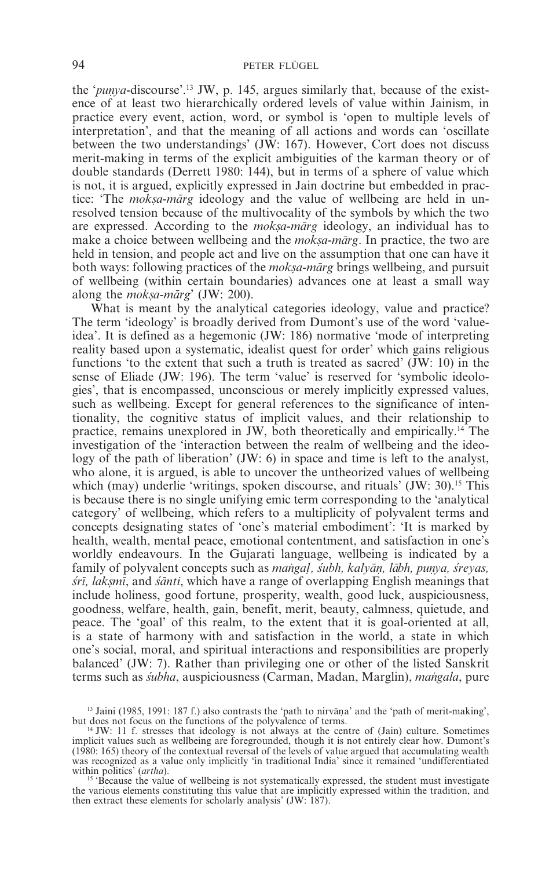the '*punya*-discourse'.<sup>13</sup> JW, p. 145, argues similarly that, because of the existence of at least two hierarchically ordered levels of value within Jainism, in practice every event, action, word, or symbol is 'open to multiple levels of interpretation', and that the meaning of all actions and words can 'oscillate between the two understandings' (JW: 167). However, Cort does not discuss merit-making in terms of the explicit ambiguities of the karman theory or of double standards (Derrett 1980: 144), but in terms of a sphere of value which is not, it is argued, explicitly expressed in Jain doctrine but embedded in practice: 'The *moksa-marg* ideology and the value of wellbeing are held in unresolved tension because of the multivocality of the symbols by which the two are expressed. According to the *moksa-marg* ideology, an individual has to make a choice between wellbeing and the *moksa-marg*. In practice, the two are held in tension, and people act and live on the assumption that one can have it both ways: following practices of the *moksa-marg* brings wellbeing, and pursuit of wellbeing (within certain boundaries) advances one at least a small way along the *moksa-mārg*' (JW: 200).

What is meant by the analytical categories ideology, value and practice? The term 'ideology' is broadly derived from Dumont's use of the word 'valueidea'. It is defined as a hegemonic (JW: 186) normative 'mode of interpreting reality based upon a systematic, idealist quest for order' which gains religious functions 'to the extent that such a truth is treated as sacred' (JW: 10) in the sense of Eliade (JW: 196). The term 'value' is reserved for 'symbolic ideologies', that is encompassed, unconscious or merely implicitly expressed values, such as wellbeing. Except for general references to the significance of intentionality, the cognitive status of implicit values, and their relationship to practice, remains unexplored in JW, both theoretically and empirically.14 The investigation of the 'interaction between the realm of wellbeing and the ideology of the path of liberation' (JW: 6) in space and time is left to the analyst, who alone, it is argued, is able to uncover the untheorized values of wellbeing which (may) underlie 'writings, spoken discourse, and rituals' (JW: 30).<sup>15</sup> This is because there is no single unifying emic term corresponding to the 'analytical category' of wellbeing, which refers to a multiplicity of polyvalent terms and concepts designating states of 'one's material embodiment': 'It is marked by health, wealth, mental peace, emotional contentment, and satisfaction in one's worldly endeavours. In the Gujarati language, wellbeing is indicated by a family of polyvalent concepts such as *mangal*, *subh, kalyān, lābh, punya, sreyas, sri*, laksmi, and *santi*, which have a range of overlapping English meanings that include holiness, good fortune, prosperity, wealth, good luck, auspiciousness, goodness, welfare, health, gain, benefit, merit, beauty, calmness, quietude, and peace. The 'goal' of this realm, to the extent that it is goal-oriented at all, is a state of harmony with and satisfaction in the world, a state in which one's social, moral, and spiritual interactions and responsibilities are properly balanced' (JW: 7). Rather than privileging one or other of the listed Sanskrit terms such as *subha*, auspiciousness (Carman, Madan, Marglin), *mangala*, pure

<sup>&</sup>lt;sup>13</sup> Jaini (1985, 1991: 187 f.) also contrasts the 'path to nirvana' and the 'path of merit-making', but does not focus on the functions of the polyvalence of terms.

<sup>&</sup>lt;sup>4</sup> JW: 11 f. stresses that ideology is not always at the centre of (Jain) culture. Sometimes implicit values such as wellbeing are foregrounded, though it is not entirely clear how. Dumont's (1980: 165) theory of the contextual reversal of the levels of value argued that accumulating wealth was recognized as a value only implicitly 'in traditional India' since it remained 'undifferentiated

within politics' (*artha*).<br><sup>15</sup> 'Because the value of wellbeing is not systematically expressed, the student must investigate the various elements constituting this value that are implicitly expressed within the tradition, and then extract these elements for scholarly analysis' (JW: 187).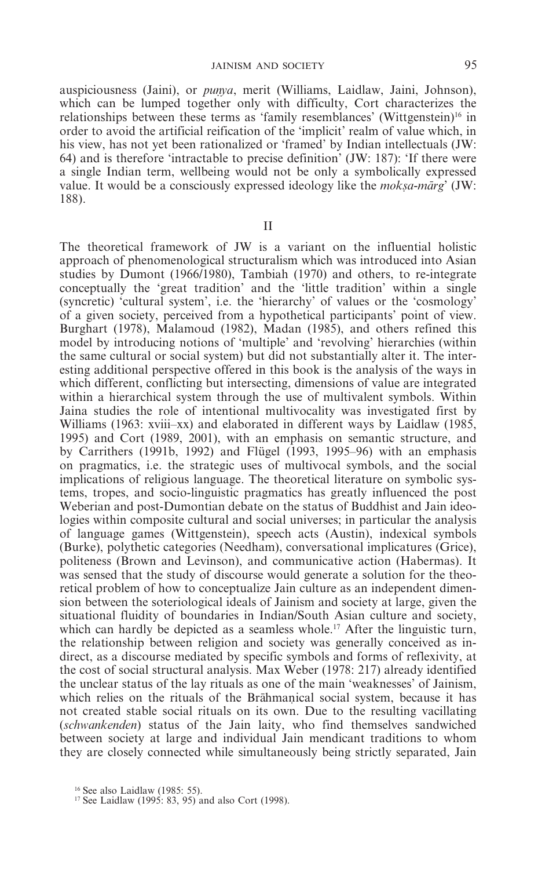auspiciousness (Jaini), or *punya*, merit (Williams, Laidlaw, Jaini, Johnson), which can be lumped together only with difficulty, Cort characterizes the relationships between these terms as 'family resemblances' (Wittgenstein)<sup>16</sup> in order to avoid the artificial reification of the 'implicit' realm of value which, in his view, has not yet been rationalized or 'framed' by Indian intellectuals (JW: 64) and is therefore 'intractable to precise definition' (JW: 187): 'If there were a single Indian term, wellbeing would not be only a symbolically expressed value. It would be a consciously expressed ideology like the *moksa-marg*' (JW: 188).

II

The theoretical framework of JW is a variant on the influential holistic approach of phenomenological structuralism which was introduced into Asian studies by Dumont (1966/1980), Tambiah (1970) and others, to re-integrate conceptually the 'great tradition' and the 'little tradition' within a single (syncretic) 'cultural system', i.e. the 'hierarchy' of values or the 'cosmology' of a given society, perceived from a hypothetical participants' point of view. Burghart (1978), Malamoud (1982), Madan (1985), and others refined this model by introducing notions of 'multiple' and 'revolving' hierarchies (within the same cultural or social system) but did not substantially alter it. The interesting additional perspective offered in this book is the analysis of the ways in which different, conflicting but intersecting, dimensions of value are integrated within a hierarchical system through the use of multivalent symbols. Within Jaina studies the role of intentional multivocality was investigated first by Williams (1963: xviii–xx) and elaborated in different ways by Laidlaw (1985, 1995) and Cort (1989, 2001), with an emphasis on semantic structure, and by Carrithers (1991b, 1992) and Flügel (1993, 1995–96) with an emphasis on pragmatics, i.e. the strategic uses of multivocal symbols, and the social implications of religious language. The theoretical literature on symbolic systems, tropes, and socio-linguistic pragmatics has greatly influenced the post Weberian and post-Dumontian debate on the status of Buddhist and Jain ideologies within composite cultural and social universes; in particular the analysis of language games (Wittgenstein), speech acts (Austin), indexical symbols (Burke), polythetic categories (Needham), conversational implicatures (Grice), politeness (Brown and Levinson), and communicative action (Habermas). It was sensed that the study of discourse would generate a solution for the theoretical problem of how to conceptualize Jain culture as an independent dimension between the soteriological ideals of Jainism and society at large, given the situational fluidity of boundaries in Indian/South Asian culture and society, which can hardly be depicted as a seamless whole.<sup>17</sup> After the linguistic turn, the relationship between religion and society was generally conceived as indirect, as a discourse mediated by specific symbols and forms of reflexivity, at the cost of social structural analysis. Max Weber (1978: 217) already identified the unclear status of the lay rituals as one of the main 'weaknesses' of Jainism, which relies on the rituals of the Brahmanical social system, because it has not created stable social rituals on its own. Due to the resulting vacillating (*schwankenden*) status of the Jain laity, who find themselves sandwiched between society at large and individual Jain mendicant traditions to whom they are closely connected while simultaneously being strictly separated, Jain

<sup>&</sup>lt;sup>16</sup> See also Laidlaw (1985: 55).<br><sup>17</sup> See Laidlaw (1995: 83, 95) and also Cort (1998).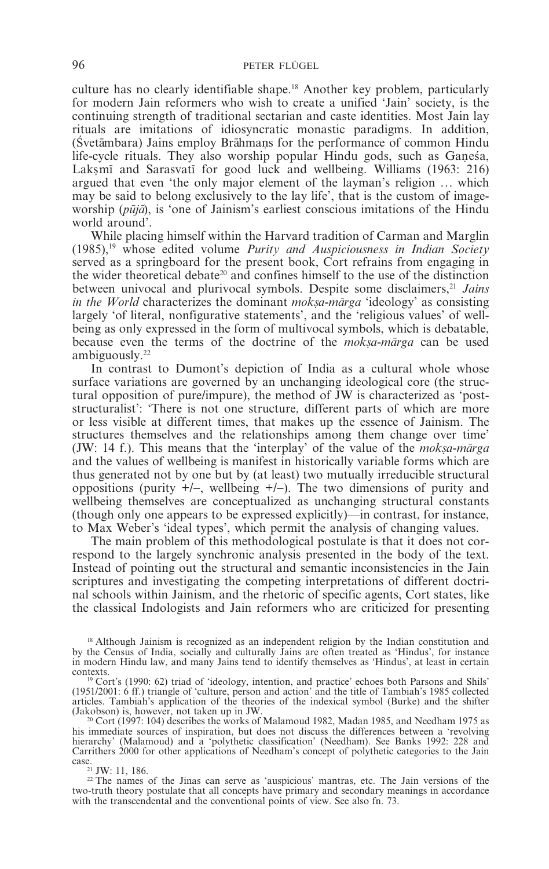culture has no clearly identifiable shape.18 Another key problem, particularly for modern Jain reformers who wish to create a unified 'Jain' society, is the continuing strength of traditional sectarian and caste identities. Most Jain lay rituals are imitations of idiosyncratic monastic paradigms. In addition,  $(Švetāmbara)$  Jains employ Brāhmans for the performance of common Hindu life-cycle rituals. They also worship popular Hindu gods, such as Ganesa, Laksmi and Sarasvati for good luck and wellbeing. Williams (1963: 216) argued that even 'the only major element of the layman's religion ... which may be said to belong exclusively to the lay life', that is the custom of imageworship (*pūjā*), is 'one of Jainism's earliest conscious imitations of the Hindu world around'.

While placing himself within the Harvard tradition of Carman and Marglin (1985),19 whose edited volume *Purity and Auspiciousness in Indian Society* served as a springboard for the present book, Cort refrains from engaging in the wider theoretical debate<sup>20</sup> and confines himself to the use of the distinction between univocal and plurivocal symbols. Despite some disclaimers,<sup>21</sup> Jains *in the World* characterizes the dominant *moksa-marga* 'ideology' as consisting largely 'of literal, nonfigurative statements', and the 'religious values' of wellbeing as only expressed in the form of multivocal symbols, which is debatable, because even the terms of the doctrine of the *moksa-marga* can be used ambiguously.22

In contrast to Dumont's depiction of India as a cultural whole whose surface variations are governed by an unchanging ideological core (the structural opposition of pure/impure), the method of JW is characterized as 'poststructuralist': 'There is not one structure, different parts of which are more or less visible at different times, that makes up the essence of Jainism. The structures themselves and the relationships among them change over time' (JW: 14 f.). This means that the 'interplay' of the value of the *moksa-marga* and the values of wellbeing is manifest in historically variable forms which are thus generated not by one but by (at least) two mutually irreducible structural oppositions (purity +/−, wellbeing +/−). The two dimensions of purity and wellbeing themselves are conceptualized as unchanging structural constants (though only one appears to be expressed explicitly)—in contrast, for instance, to Max Weber's 'ideal types', which permit the analysis of changing values.

The main problem of this methodological postulate is that it does not correspond to the largely synchronic analysis presented in the body of the text. Instead of pointing out the structural and semantic inconsistencies in the Jain scriptures and investigating the competing interpretations of different doctrinal schools within Jainism, and the rhetoric of specific agents, Cort states, like the classical Indologists and Jain reformers who are criticized for presenting

<sup>&</sup>lt;sup>18</sup> Although Jainism is recognized as an independent religion by the Indian constitution and by the Census of India, socially and culturally Jains are often treated as 'Hindus', for instance in modern Hindu law, and many Jains tend to identify themselves as 'Hindus', at least in certain contexts.

 $19$  Cort's (1990: 62) triad of 'ideology, intention, and practice' echoes both Parsons and Shils' (1951/2001: 6 ff.) triangle of 'culture, person and action' and the title of Tambiah's 1985 collected articles. Tambiah's application of the theories of the indexical symbol (Burke) and the shifter

<sup>&</sup>lt;sup>20</sup> Cort (1997: 104) describes the works of Malamoud 1982. Madan 1985, and Needham 1975 as his immediate sources of inspiration, but does not discuss the differences between a 'revolving hierarchy' (Malamoud) and a 'polythetic classification' (Needham). See Banks 1992: 228 and Carrithers 2000 for other applications of Needham's concept of polythetic categories to the Jain case.21 JW: 11, 186. <sup>22</sup> The names of the Jinas can serve as 'auspicious' mantras, etc. The Jain versions of the

two-truth theory postulate that all concepts have primary and secondary meanings in accordance with the transcendental and the conventional points of view. See also fn. 73.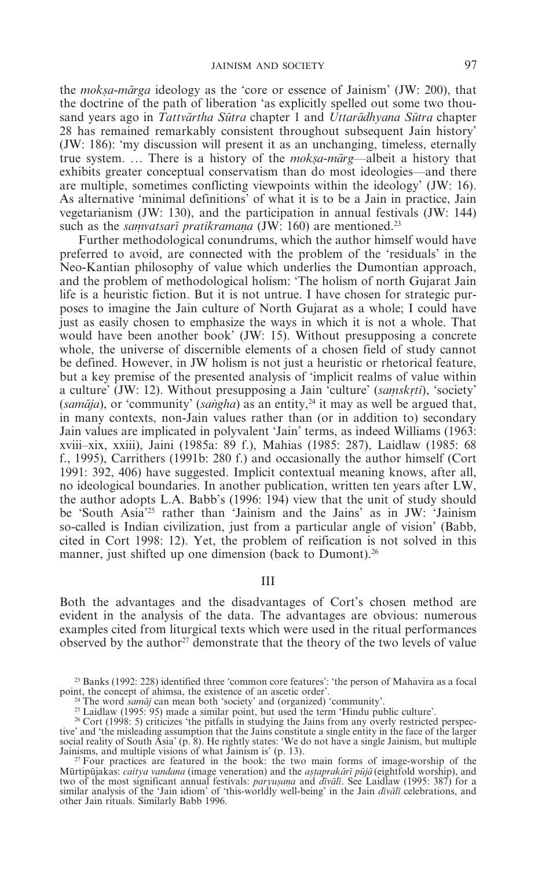the *moksa-mārga* ideology as the 'core or essence of Jainism' (JW: 200), that the doctrine of the path of liberation 'as explicitly spelled out some two thousand years ago in *Tattvārtha Sūtra* chapter 1 and *Uttarādhyana Sūtra* chapter 28 has remained remarkably consistent throughout subsequent Jain history' (JW: 186): 'my discussion will present it as an unchanging, timeless, eternally true system. ... There is a history of the *moksa-marg*—albeit a history that exhibits greater conceptual conservatism than do most ideologies—and there are multiple, sometimes conflicting viewpoints within the ideology' (JW: 16). As alternative 'minimal definitions' of what it is to be a Jain in practice, Jain vegetarianism (JW: 130), and the participation in annual festivals (JW: 144) such as the *samvatsari pratikramana* (JW: 160) are mentioned.<sup>23</sup>

Further methodological conundrums, which the author himself would have preferred to avoid, are connected with the problem of the 'residuals' in the Neo-Kantian philosophy of value which underlies the Dumontian approach, and the problem of methodological holism: 'The holism of north Gujarat Jain life is a heuristic fiction. But it is not untrue. I have chosen for strategic purposes to imagine the Jain culture of North Gujarat as a whole; I could have just as easily chosen to emphasize the ways in which it is not a whole. That would have been another book' (JW: 15). Without presupposing a concrete whole, the universe of discernible elements of a chosen field of study cannot be defined. However, in JW holism is not just a heuristic or rhetorical feature, but a key premise of the presented analysis of 'implicit realms of value within a culture' (JW: 12). Without presupposing a Jain 'culture' *(samskrti)*, 'society' (samāja), or 'community' (sangha) as an entity,<sup>24</sup> it may as well be argued that, in many contexts, non-Jain values rather than (or in addition to) secondary Jain values are implicated in polyvalent 'Jain' terms, as indeed Williams (1963: xviii–xix, xxiii), Jaini (1985a: 89 f.), Mahias (1985: 287), Laidlaw (1985: 68 f., 1995), Carrithers (1991b: 280 f.) and occasionally the author himself (Cort 1991: 392, 406) have suggested. Implicit contextual meaning knows, after all, no ideological boundaries. In another publication, written ten years after LW, the author adopts L.A. Babb's (1996: 194) view that the unit of study should be 'South Asia'25 rather than 'Jainism and the Jains' as in JW: 'Jainism so-called is Indian civilization, just from a particular angle of vision' (Babb, cited in Cort 1998: 12). Yet, the problem of reification is not solved in this manner, just shifted up one dimension (back to Dumont).<sup>26</sup>

III

Both the advantages and the disadvantages of Cort's chosen method are evident in the analysis of the data. The advantages are obvious: numerous examples cited from liturgical texts which were used in the ritual performances observed by the author<sup>27</sup> demonstrate that the theory of the two levels of value

 $^{23}$  Banks (1992: 228) identified three 'common core features': 'the person of Mahavira as a focal point, the concept of ahimsa, the existence of an ascetic order'.

<sup>24</sup> The word *samaj* can mean both 'society' and (organized) 'community'.<br>
<sup>24</sup> The word *samaj* can mean both 'society' and (organized) 'community'.<br>
<sup>25</sup> Laidlaw (1995: 95) made a similar point, but used the term 'Hindu

tive' and 'the misleading assumption that the Jains constitute a single entity in the face of the larger social reality of South Asia' (p. 8). He rightly states: 'We do not have a single Jainism, but multiple Jainisms, and multiple visions of what Jainism is' (p. 13).<br><sup>27</sup> Four practices are featured in the book: the two main forms of image-worship of the

Mūrtipūjakas: *caitya vandana* (image veneration) and the *astaprakārī pūjā* (eightfold worship), and two of the most significant annual festivals: *paryusana* and *divali*. See Laidlaw (1995: 387) for a similar analysis of the 'Jain idiom' of 'this-worldly well-being' in the Jain *divali* celebrations, and other Jain rituals. Similarly Babb 1996.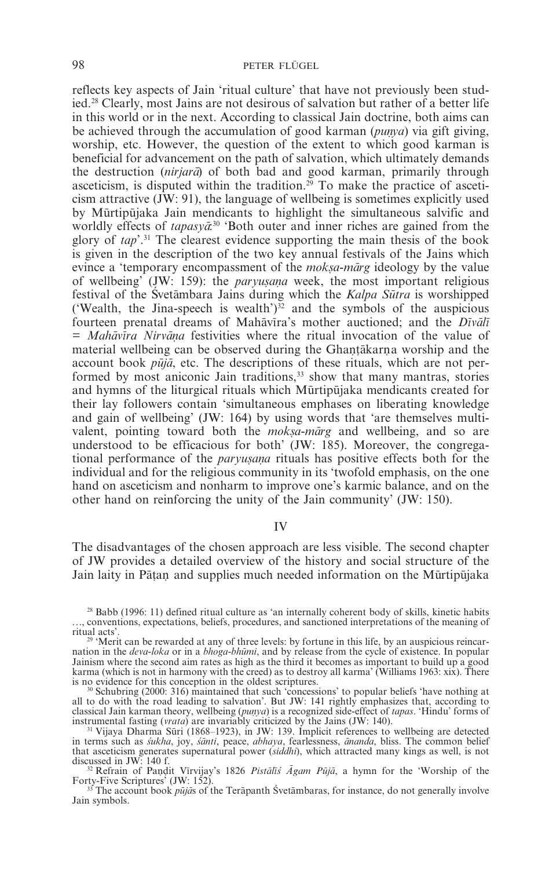reflects key aspects of Jain 'ritual culture' that have not previously been studied.28 Clearly, most Jains are not desirous of salvation but rather of a better life in this world or in the next. According to classical Jain doctrine, both aims can be achieved through the accumulation of good karman (*punya*) via gift giving, worship, etc. However, the question of the extent to which good karman is beneficial for advancement on the path of salvation, which ultimately demands the destruction *(nirjara)* of both bad and good karman, primarily through asceticism, is disputed within the tradition.<sup>29</sup> To make the practice of asceticism attractive (JW: 91), the language of wellbeing is sometimes explicitly used by Mūrtipūjaka Jain mendicants to highlight the simultaneous salvific and worldly effects of *tapasya*<sup>30</sup> 'Both outer and inner riches are gained from the glory of *tap*'.31 The clearest evidence supporting the main thesis of the book is given in the description of the two key annual festivals of the Jains which evince a 'temporary encompassment of the *moksa-marg* ideology by the value of wellbeing' (JW: 159): the *paryusana* week, the most important religious festival of the Svetambara Jains during which the *Kalpa Sutra* is worshipped ('Wealth, the Jina-speech is wealth') $32$  and the symbols of the auspicious fourteen prenatal dreams of Mahavira's mother auctioned; and the *Divali* = *Mahāvīra Nirvāņa* festivities where the ritual invocation of the value of material wellbeing can be observed during the Ghantakarna worship and the account book *pūjā*, etc. The descriptions of these rituals, which are not performed by most aniconic Jain traditions,<sup>33</sup> show that many mantras, stories and hymns of the liturgical rituals which Mūrtipūjaka mendicants created for their lay followers contain 'simultaneous emphases on liberating knowledge and gain of wellbeing' (JW: 164) by using words that 'are themselves multivalent, pointing toward both the *moksa-marg* and wellbeing, and so are understood to be efficacious for both' (JW: 185). Moreover, the congregational performance of the *paryusana* rituals has positive effects both for the individual and for the religious community in its 'twofold emphasis, on the one hand on asceticism and nonharm to improve one's karmic balance, and on the other hand on reinforcing the unity of the Jain community' (JW: 150).

## IV

The disadvantages of the chosen approach are less visible. The second chapter of JW provides a detailed overview of the history and social structure of the Jain laity in Pāṭaṇ and supplies much needed information on the Mūrtipūjaka

<sup>28</sup> Babb (1996: 11) defined ritual culture as 'an internally coherent body of skills, kinetic habits ..., conventions, expectations, beliefs, procedures, and sanctioned interpretations of the meaning of ritual acts'

<sup>&#</sup>x27;Merit can be rewarded at any of three levels: by fortune in this life, by an auspicious reincarnation in the *deva-loka* or in a *bhoga-bhu*m*mi*, and by release from the cycle of existence. In popular Jainism where the second aim rates as high as the third it becomes as important to build up a good karma (which is not in harmony with the creed) as to destroy all karma' (Williams 1963: xix). There is no evidence for this conception in the oldest scriptures.

<sup>&</sup>lt;sup>30</sup> Schubring (2000: 316) maintained that such 'concessions' to popular beliefs 'have nothing at all to do with the road leading to salvation'. But JW: 141 rightly emphasizes that, according to classical Jain karman theory, wellbeing (*punya*) is a recognized side-effect of *tapas*. 'Hindu' forms of instrumental fasting (*vrata*) are invariably criticized by the Jains (JW: 140).<br><sup>31</sup> Vijaya Dharma Sūri (1868–1923), in JW: 139. Implicit references to wellbeing are detected

in terms such as *sukha*, joy, *santi*, peace, *abhaya*, fearlessness, *ananda*, bliss. The common belief that asceticism generates supernatural power (*siddhi*), which attracted many kings as well, is not

discussed in JW: 140 f.<br><sup>32</sup> Refrain of Pandit Virvijay's 1826 *Pistalis Agam Puja*, a hymn for the 'Worship of the Forty-Five Scriptures' (JW: 152).

<sup>&</sup>lt;sup>33</sup> The account book *pūjās* of the Terāpanth Śvetāmbaras, for instance, do not generally involve Jain symbols.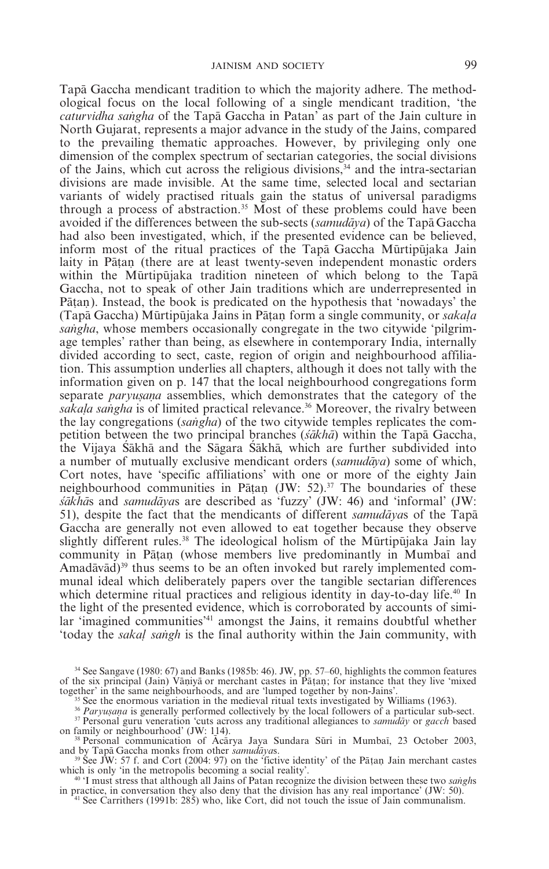Tapa Gaccha mendicant tradition to which the majority adhere. The methodological focus on the local following of a single mendicant tradition, 'the *caturvidha sangha* of the Tapa Gaccha in Patan' as part of the Jain culture in North Gujarat, represents a major advance in the study of the Jains, compared to the prevailing thematic approaches. However, by privileging only one dimension of the complex spectrum of sectarian categories, the social divisions of the Jains, which cut across the religious divisions,  $34$  and the intra-sectarian divisions are made invisible. At the same time, selected local and sectarian variants of widely practised rituals gain the status of universal paradigms through a process of abstraction.35 Most of these problems could have been avoided if the differences between the sub-sects *(samudava)* of the Tapa Gaccha had also been investigated, which, if the presented evidence can be believed, inform most of the ritual practices of the Tapa Gaccha Murtipujaka Jain laity in Pātan (there are at least twenty-seven independent monastic orders within the Murtipujaka tradition nineteen of which belong to the Tapa Gaccha, not to speak of other Jain traditions which are underrepresented in Patan). Instead, the book is predicated on the hypothesis that 'nowadays' the (Tapā Gaccha) Mūrtipūjaka Jains in Pātan form a single community, or *sakala sangha*, whose members occasionally congregate in the two citywide 'pilgrimage temples' rather than being, as elsewhere in contemporary India, internally divided according to sect, caste, region of origin and neighbourhood affiliation. This assumption underlies all chapters, although it does not tally with the information given on p. 147 that the local neighbourhood congregations form separate *paryusana* assemblies, which demonstrates that the category of the *sakala sangha* is of limited practical relevance.<sup>36</sup> Moreover, the rivalry between the lay congregations *(sangha)* of the two citywide temples replicates the competition between the two principal branches (*sakha*) within the Tapa Gaccha, the Vijaya Sākhā and the Sāgara Sākhā, which are further subdivided into a number of mutually exclusive mendicant orders (*samuda*m*ya*) some of which, Cort notes, have 'specific affiliations' with one or more of the eighty Jain neighbourhood communities in Pātan (JW: 52).<sup>37</sup> The boundaries of these  $s\bar{a}$ *kha*<sup>rd</sup>s and *samudavas* are described as 'fuzzy' (JW: 46) and 'informal' (JW: 51), despite the fact that the mendicants of different *samudavas* of the Tapa Gaccha are generally not even allowed to eat together because they observe slightly different rules.<sup>38</sup> The ideological holism of the Mūrtipūjaka Jain lay community in Pāṭaṇ (whose members live predominantly in Mumbai and Amadāvād)<sup>39</sup> thus seems to be an often invoked but rarely implemented communal ideal which deliberately papers over the tangible sectarian differences which determine ritual practices and religious identity in day-to-day life.<sup>40</sup> In the light of the presented evidence, which is corroborated by accounts of similar 'imagined communities'<sup>41</sup> amongst the Jains, it remains doubtful whether 'today the *sakal sangh* is the final authority within the Jain community, with

<sup>34</sup> See Sangave (1980: 67) and Banks (1985b: 46). JW, pp. 57–60, highlights the common features of the six principal (Jain) Vāniyā or merchant castes in Patan; for instance that they live 'mixed together' in the same neighbourhoods, and are 'lumped together by non-Jains'.

together' in the same neighbourhoods, and are 'lumped together by non-Jains'.<br><sup>35</sup> See the enormous variation in the medieval ritual texts investigated by Williams (1963).<br><sup>36</sup> Paryugana is generally performed collectivel

and by Tapa Gaccha monks from other *samudayas*.<br><sup>39</sup> See JW: 57 f. and Cort (2004: 97) on the 'fictive identity' of the Patan Jain merchant castes which is only 'in the metropolis becoming a social reality'.

<sup>40</sup> 'I must stress that although all Jains of Patan recognize the division between these two *sanghs* in practice, in conversation they also deny that the division has any real importance' (JW: 50).<br><sup>41</sup> See Carrithers (

on family or neighbourhood' (JW: 114).<br><sup>38</sup> Personal communication of Acarya Jaya Sundara Suri in Mumbai, 23 October 2003,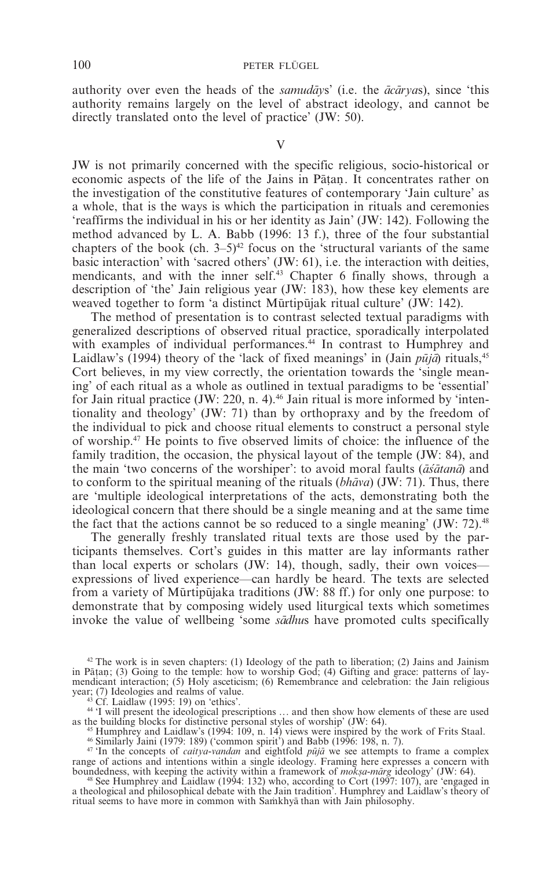authority over even the heads of the *samuday*s' (i.e. the  $\bar{a}c\bar{a}r\gamma a s$ ), since 'this authority remains largely on the level of abstract ideology, and cannot be directly translated onto the level of practice' (JW: 50).

V

JW is not primarily concerned with the specific religious, socio-historical or economic aspects of the life of the Jains in Pātan. It concentrates rather on the investigation of the constitutive features of contemporary 'Jain culture' as a whole, that is the ways is which the participation in rituals and ceremonies 'reaffirms the individual in his or her identity as Jain' (JW: 142). Following the method advanced by L. A. Babb (1996: 13 f.), three of the four substantial chapters of the book (ch.  $3-5)^{42}$  focus on the 'structural variants of the same basic interaction' with 'sacred others' (JW: 61), i.e. the interaction with deities, mendicants, and with the inner self.<sup>43</sup> Chapter 6 finally shows, through a description of 'the' Jain religious year (JW: 183), how these key elements are weaved together to form 'a distinct Murtipulak ritual culture' (JW: 142).

The method of presentation is to contrast selected textual paradigms with generalized descriptions of observed ritual practice, sporadically interpolated with examples of individual performances.<sup>44</sup> In contrast to Humphrey and Laidlaw's (1994) theory of the 'lack of fixed meanings' in (Jain  $p\bar{u}i\bar{a}$ ) rituals,<sup>45</sup> Cort believes, in my view correctly, the orientation towards the 'single meaning' of each ritual as a whole as outlined in textual paradigms to be 'essential' for Jain ritual practice (JW: 220, n. 4).<sup>46</sup> Jain ritual is more informed by 'intentionality and theology' (JW: 71) than by orthopraxy and by the freedom of the individual to pick and choose ritual elements to construct a personal style of worship.47 He points to five observed limits of choice: the influence of the family tradition, the occasion, the physical layout of the temple (JW: 84), and the main 'two concerns of the worshiper': to avoid moral faults ( $\vec{a}\vec{s}$ *atana*) and to conform to the spiritual meaning of the rituals (*bhava*) (JW: 71). Thus, there are 'multiple ideological interpretations of the acts, demonstrating both the ideological concern that there should be a single meaning and at the same time the fact that the actions cannot be so reduced to a single meaning'  $JW: 72$ .<sup>48</sup>

The generally freshly translated ritual texts are those used by the participants themselves. Cort's guides in this matter are lay informants rather than local experts or scholars (JW: 14), though, sadly, their own voices expressions of lived experience—can hardly be heard. The texts are selected from a variety of Mūrtipūjaka traditions  $JW$ : 88 ff.) for only one purpose: to demonstrate that by composing widely used liturgical texts which sometimes invoke the value of wellbeing 'some *sadhus* have promoted cults specifically

 $42$  The work is in seven chapters: (1) Ideology of the path to liberation; (2) Jains and Jainism in Patan; (3) Going to the temple: how to worship God; (4) Gifting and grace: patterns of laymendicant interaction; (5) Holy asceticism; (6) Remembrance and celebration: the Jain religious vear; (7) Ideologies and realms of value.

<sup>&</sup>lt;sup>43</sup> Cf. Laidlaw (1995: 19) on 'ethics'.<br><sup>44</sup> 'I will present the ideological prescriptions ... and then show how elements of these are used as the building blocks for distinctive personal styles of worship' (JW: 64).

<sup>&</sup>lt;sup>45</sup> Humphrey and Laidlaw's (1994: 109, n. 14) views were inspired by the work of Frits Staal.<br><sup>46</sup> Similarly Jaini (1979: 189) ('common spirit') and Babb (1996: 198, n. 7).<br><sup>47</sup> In the concepts of *caitya-vandan* and eig

range of actions and intentions within a single ideology. Framing here expresses a concern with

boundedness, with keeping the activity within a framework of *moksa-marg* ideology' (JW: 64).<br><sup>48</sup> See Humphrey and Laidlaw (1994: 132) who, according to Cort (1997: 107), are 'engaged in a theological and philosophical debate with the Jain tradition'. Humphrey and Laidlaw's theory of ritual seems to have more in common with Samkhya than with Jain philosophy.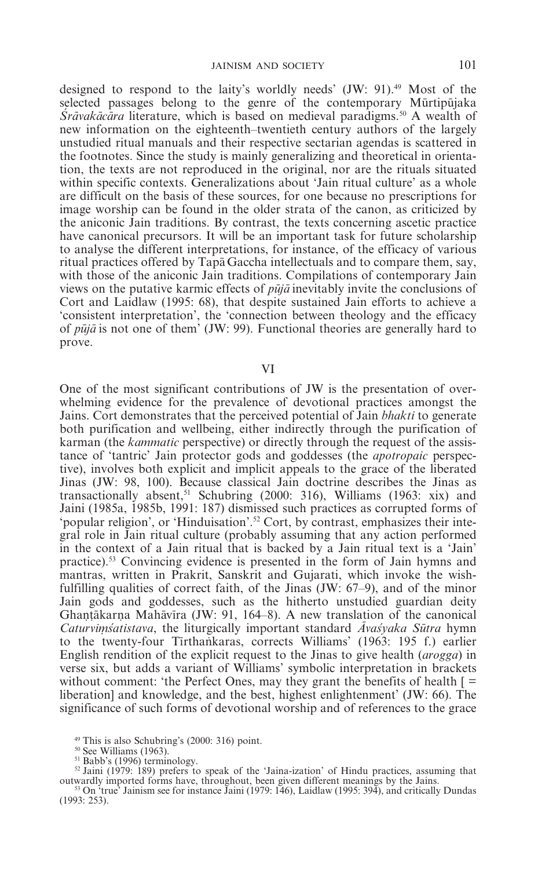designed to respond to the laity's worldly needs' (JW: 91).49 Most of the selected passages belong to the genre of the contemporary Mūrtipūjaka *Srāvakācāra* literature, which is based on medieval paradigms.<sup>50</sup> A wealth of new information on the eighteenth–twentieth century authors of the largely unstudied ritual manuals and their respective sectarian agendas is scattered in the footnotes. Since the study is mainly generalizing and theoretical in orientation, the texts are not reproduced in the original, nor are the rituals situated within specific contexts. Generalizations about 'Jain ritual culture' as a whole are difficult on the basis of these sources, for one because no prescriptions for image worship can be found in the older strata of the canon, as criticized by the aniconic Jain traditions. By contrast, the texts concerning ascetic practice have canonical precursors. It will be an important task for future scholarship to analyse the different interpretations, for instance, of the efficacy of various ritual practices offered by Tapa Gaccha intellectuals and to compare them, say, with those of the aniconic Jain traditions. Compilations of contemporary Jain views on the putative karmic effects of *pu* $\vec{a}$  inevitably invite the conclusions of Cort and Laidlaw (1995: 68), that despite sustained Jain efforts to achieve a 'consistent interpretation', the 'connection between theology and the efficacy of *pu* $\bar{a}$  is not one of them' (JW: 99). Functional theories are generally hard to prove.

VI

One of the most significant contributions of JW is the presentation of overwhelming evidence for the prevalence of devotional practices amongst the Jains. Cort demonstrates that the perceived potential of Jain *bhakti* to generate both purification and wellbeing, either indirectly through the purification of karman (the *kammatic* perspective) or directly through the request of the assistance of 'tantric' Jain protector gods and goddesses (the *apotropaic* perspective), involves both explicit and implicit appeals to the grace of the liberated Jinas (JW: 98, 100). Because classical Jain doctrine describes the Jinas as transactionally absent,<sup>51</sup> Schubring (2000: 316), Williams (1963: xix) and Jaini (1985a, 1985b, 1991: 187) dismissed such practices as corrupted forms of 'popular religion', or 'Hinduisation'.52 Cort, by contrast, emphasizes their integral role in Jain ritual culture (probably assuming that any action performed in the context of a Jain ritual that is backed by a Jain ritual text is a 'Jain' practice).53 Convincing evidence is presented in the form of Jain hymns and mantras, written in Prakrit, Sanskrit and Gujarati, which invoke the wishfulfilling qualities of correct faith, of the Jinas (JW: 67–9), and of the minor Jain gods and goddesses, such as the hitherto unstudied guardian deity Ghantākarna Mahāvīra (JW: 91, 164–8). A new translation of the canonical *Caturvimisatistava*, the liturgically important standard *Avasyaka Sütra* hymn<br>to the twenty-four Tirthankaras, corrects Williams' (1963: 195 f.) earlier *Caturvimśatistava*, the liturgically important standard *Avaśyaka Sūtra* hymn English rendition of the explicit request to the Jinas to give health (*arogga*) in verse six, but adds a variant of Williams' symbolic interpretation in brackets without comment: 'the Perfect Ones, may they grant the benefits of health  $\Gamma =$ liberation] and knowledge, and the best, highest enlightenment' (JW: 66). The significance of such forms of devotional worship and of references to the grace

<sup>&</sup>lt;sup>49</sup> This is also Schubring's (2000: 316) point.<br><sup>50</sup> See Williams (1963).<br><sup>51</sup> Babb's (1996) terminology.<br><sup>52</sup> Jaini (1979: 189) prefers to speak of the 'Jaina-ization' of Hindu practices, assuming that<br>outwardly importe

 $^{53}$  On 'true' Jainism see for instance Jaini (1979: 146), Laidlaw (1995: 394), and critically Dundas (1993: 253).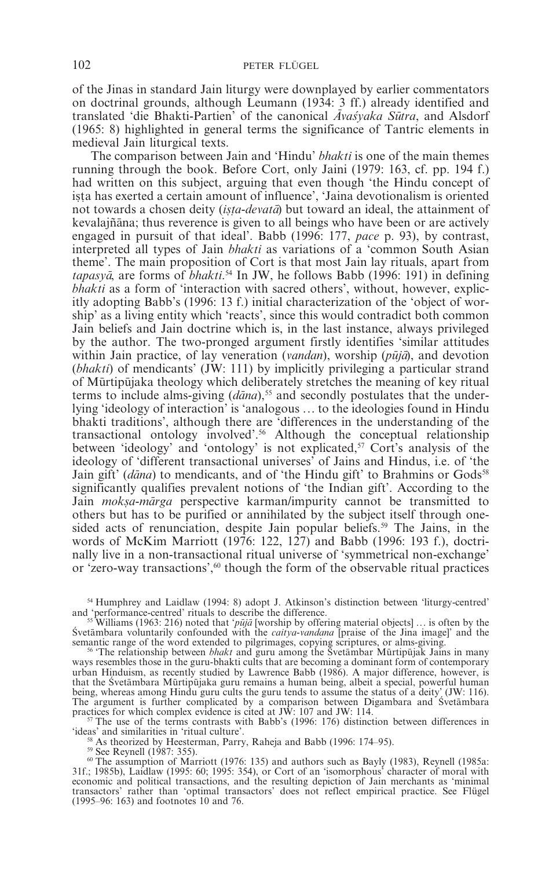of the Jinas in standard Jain liturgy were downplayed by earlier commentators on doctrinal grounds, although Leumann (1934: 3 ff.) already identified and translated 'die Bhakti-Partien' of the canonical *Avasvaka Sutra*, and Alsdorf (1965: 8) highlighted in general terms the significance of Tantric elements in medieval Jain liturgical texts.

The comparison between Jain and 'Hindu' *bhakti* is one of the main themes running through the book. Before Cort, only Jaini (1979: 163, cf. pp. 194 f.) had written on this subject, arguing that even though 'the Hindu concept of ista has exerted a certain amount of influence', 'Jaina devotionalism is oriented not towards a chosen deity (*ista-devata*) but toward an ideal, the attainment of kevalajñāna; thus reverence is given to all beings who have been or are actively engaged in pursuit of that ideal'. Babb (1996: 177, *pace* p. 93), by contrast, interpreted all types of Jain *bhakti* as variations of a 'common South Asian theme'. The main proposition of Cort is that most Jain lay rituals, apart from tapasya, are forms of *bhakti*.<sup>54</sup> In JW, he follows Babb (1996: 191) in defining *bhakti* as a form of 'interaction with sacred others', without, however, explicitly adopting Babb's (1996: 13 f.) initial characterization of the 'object of worship' as a living entity which 'reacts', since this would contradict both common Jain beliefs and Jain doctrine which is, in the last instance, always privileged by the author. The two-pronged argument firstly identifies 'similar attitudes within Jain practice, of lay veneration (*vandan*), worship (*pūjā*), and devotion (*bhakti*) of mendicants' (JW: 111) by implicitly privileging a particular strand of Mumrtipumjaka theology which deliberately stretches the meaning of key ritual terms to include alms-giving (*dana*),<sup>55</sup> and secondly postulates that the underlying 'ideology of interaction' is 'analogous ... to the ideologies found in Hindu bhakti traditions', although there are 'differences in the understanding of the transactional ontology involved'.56 Although the conceptual relationship between 'ideology' and 'ontology' is not explicated,<sup>57</sup> Cort's analysis of the ideology of 'different transactional universes' of Jains and Hindus, i.e. of 'the Jain gift' (*dāna*) to mendicants, and of 'the Hindu gift' to Brahmins or Gods<sup>58</sup> significantly qualifies prevalent notions of 'the Indian gift'. According to the Jain *moksa-mārga* perspective karman/impurity cannot be transmitted to others but has to be purified or annihilated by the subject itself through onesided acts of renunciation, despite Jain popular beliefs.<sup>59</sup> The Jains, in the words of McKim Marriott (1976: 122, 127) and Babb (1996: 193 f.), doctrinally live in a non-transactional ritual universe of 'symmetrical non-exchange' or 'zero-way transactions',<sup>60</sup> though the form of the observable ritual practices

<sup>54</sup> Humphrey and Laidlaw (1994: 8) adopt J. Atkinson's distinction between 'liturgy-centred'

in a function of the difference.<br>
In the difference of the difference of the difference of the difference of the difference of the difference of the difference of the system of the Svetambara voluntarily confounded with th

<sup>56</sup> 'The relationship between *bhakt* and guru among the Švetambar Murtipujak Jains in many ways resembles those in the guru-bhakti cults that are becoming a dominant form of contemporary urban Hinduism, as recently studied by Lawrence Babb (1986). A major difference, however, is that the Śvetāmbara Mūrtipūjaka guru remains a human being, albeit a special, powerful human being, whereas among Hindu guru cults the guru tends to assume the status of a deity' (JW: 116). The argument is further complicated by a comparison between Digambara and Svetambara practices for which complex evidence is cited at JW:  $107$  and JW:  $114$ .

<sup>r</sup>  $\frac{57}{10}$  The use of the terms contrasts with Babb's (1996: 176) distinction between differences in 'ideas' and similarities in 'ritual culture'.

<sup>58</sup> As theorized by Heesterman, Parry, Raheja and Babb (1996: 174–95).<br><sup>59</sup> See Reynell (1987: 355).<br><sup>60</sup> The assumption of Marriott (1976: 135) and authors such as Bayly (1983), Reynell (1985a: 31f.; 1985b), Laidlaw (1995: 60; 1995: 354), or Cort of an 'isomorphous' character of moral with economic and political transactions, and the resulting depiction of Jain merchants as 'minimal transactors' rather than 'optimal transactors' does not reflect empirical practice. See Flügel (1995–96: 163) and footnotes 10 and 76.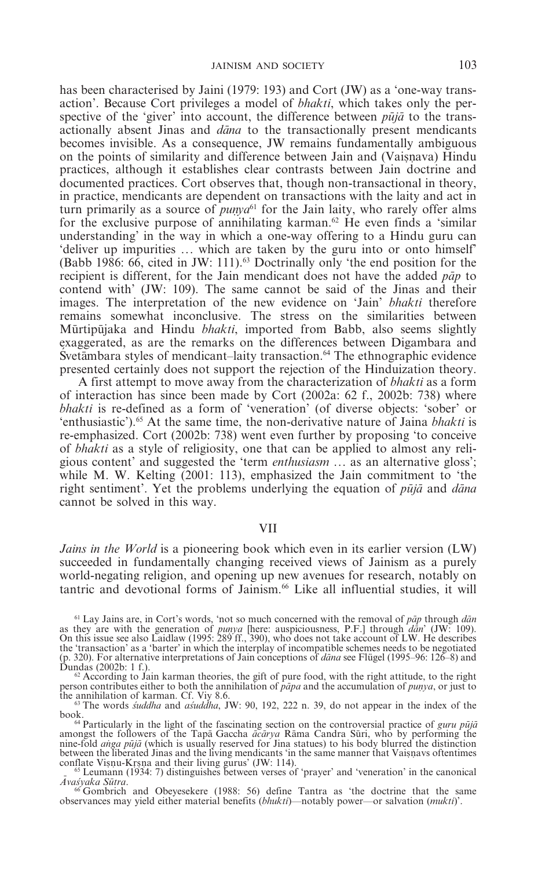has been characterised by Jaini (1979: 193) and Cort (JW) as a 'one-way transaction'. Because Cort privileges a model of *bhakti*, which takes only the perspective of the 'giver' into account, the difference between  $p\bar{u}j\bar{a}$  to the transactionally absent Jinas and *dana* to the transactionally present mendicants becomes invisible. As a consequence, JW remains fundamentally ambiguous on the points of similarity and difference between Jain and (Vaisnava) Hindu practices, although it establishes clear contrasts between Jain doctrine and documented practices. Cort observes that, though non-transactional in theory, in practice, mendicants are dependent on transactions with the laity and act in turn primarily as a source of  $p$ *unya*<sup>61</sup> for the Jain laity, who rarely offer alms for the exclusive purpose of annihilating karman.<sup>62</sup> He even finds a 'similar understanding' in the way in which a one-way offering to a Hindu guru can 'deliver up impurities ... which are taken by the guru into or onto himself' (Babb 1986: 66, cited in JW: 111).63 Doctrinally only 'the end position for the recipient is different, for the Jain mendicant does not have the added *pa*m*p* to contend with' (JW: 109). The same cannot be said of the Jinas and their images. The interpretation of the new evidence on 'Jain' *bhakti* therefore remains somewhat inconclusive. The stress on the similarities between Mūrtipūjaka and Hindu *bhakti*, imported from Babb, also seems slightly exaggerated, as are the remarks on the differences between Digambara and  $\frac{1}{2}$  Svetambara styles of mendicant–laity transaction.<sup>64</sup> The ethnographic evidence presented certainly does not support the rejection of the Hinduization theory.

A first attempt to move away from the characterization of *bhakti* as a form of interaction has since been made by Cort (2002a: 62 f., 2002b: 738) where *bhakti* is re-defined as a form of 'veneration' (of diverse objects: 'sober' or 'enthusiastic').<sup>65</sup> At the same time, the non-derivative nature of Jaina *bhakti* is re-emphasized. Cort (2002b: 738) went even further by proposing 'to conceive of *bhakti* as a style of religiosity, one that can be applied to almost any religious content' and suggested the 'term *enthusiasm* ... as an alternative gloss'; while M. W. Kelting (2001: 113), emphasized the Jain commitment to 'the right sentiment'. Yet the problems underlying the equation of *pula* and *dana* cannot be solved in this way.

## VII

*Jains in the World* is a pioneering book which even in its earlier version (LW) succeeded in fundamentally changing received views of Jainism as a purely world-negating religion, and opening up new avenues for research, notably on tantric and devotional forms of Jainism.66 Like all influential studies, it will

<sup>&</sup>lt;sup>61</sup> Lay Jains are, in Cort's words, 'not so much concerned with the removal of *pap* through *dan* as they are with the generation of *punya* [here: auspiciousness, P.F.] through *dan*' (JW: 109). On this issue see also the 'transaction' as a 'barter' in which the interplay of incompatible schemes needs to be negotiated (p. 320). For alternative interpretations of Jain conceptions of *da*m*na* see Flügel (1995–96: 126–8) and

According to Jain karman theories, the gift of pure food, with the right attitude, to the right person contributes either to both the annihilation of *papa* and the accumulation of *punya*, or just to the annihilation of *karman*. Cf. Viy 8.6.

<sup>&</sup>lt;sup>63</sup> The words *suddha* and *asaddha*, JW: 90, 192, 222 n. 39, do not appear in the index of the book.

<sup>&</sup>lt;sup>61</sup> Out of Particularly in the light of the fascinating section on the controversial practice of *guru pūjā* amongst the followers of the Tapa Gaccha *ācārya* Rāma Candra Sūri, who by performing the nine-fold *anga pūjā* (which is usually reserved for Jina statues) to his body blurred the distinction between the liberated Jinas and the living mendicants 'in the same manner that Vaisnavs oftentimes<br>conflate Visnu-Krsna and their living gurus' (JW: 114).<br>- <sup>65</sup> Leumann (1934: 7) distinguishes between verses of 'prayer' a

*<sup>A</sup>*m*vas*a*yaka Su*m*tra*. <sup>66</sup> Gombrich and Obeyesekere (1988: 56) define Tantra as 'the doctrine that the same

observances may yield either material benefits (*bhukti*)—notably power—or salvation (*mukti*)'.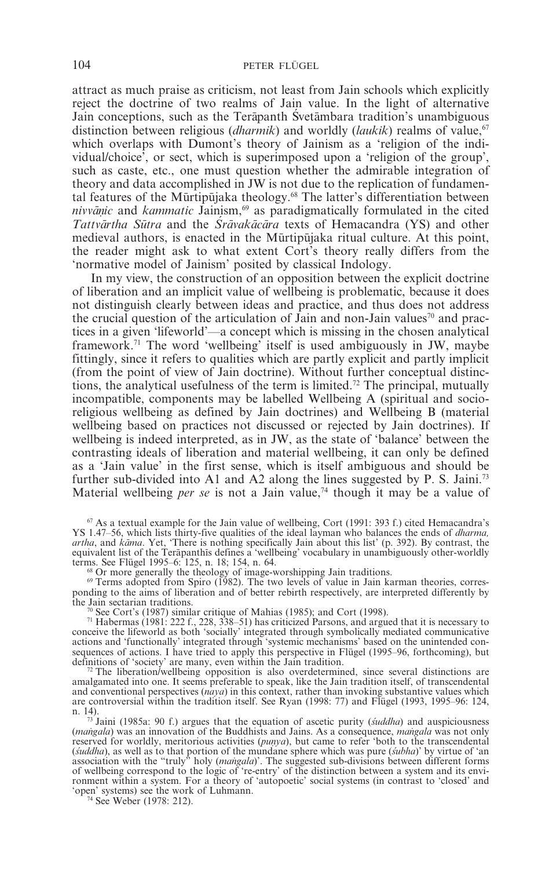attract as much praise as criticism, not least from Jain schools which explicitly reject the doctrine of two realms of Jain value. In the light of alternative Jain conceptions, such as the Terapanth Svetambara tradition's unambiguous distinction between religious (*dharmik*) and worldly (*laukik*) realms of value.<sup>67</sup> which overlaps with Dumont's theory of Jainism as a 'religion of the individual/choice', or sect, which is superimposed upon a 'religion of the group', such as caste, etc., one must question whether the admirable integration of theory and data accomplished in JW is not due to the replication of fundamental features of the Mūrtipūjaka theology.<sup>68</sup> The latter's differentiation between *nivvanic* and *kammatic* Jainism,<sup>69</sup> as paradigmatically formulated in the cited *Tattvārtha Sūtra* and the *Srāvakācāra* texts of Hemacandra (YS) and other medieval authors, is enacted in the Mūrtipūjaka ritual culture. At this point, the reader might ask to what extent Cort's theory really differs from the 'normative model of Jainism' posited by classical Indology.

In my view, the construction of an opposition between the explicit doctrine of liberation and an implicit value of wellbeing is problematic, because it does not distinguish clearly between ideas and practice, and thus does not address the crucial question of the articulation of Jain and non-Jain values<sup>70</sup> and practices in a given 'lifeworld'—a concept which is missing in the chosen analytical framework.71 The word 'wellbeing' itself is used ambiguously in JW, maybe fittingly, since it refers to qualities which are partly explicit and partly implicit (from the point of view of Jain doctrine). Without further conceptual distinctions, the analytical usefulness of the term is limited.72 The principal, mutually incompatible, components may be labelled Wellbeing A (spiritual and socioreligious wellbeing as defined by Jain doctrines) and Wellbeing B (material wellbeing based on practices not discussed or rejected by Jain doctrines). If wellbeing is indeed interpreted, as in JW, as the state of 'balance' between the contrasting ideals of liberation and material wellbeing, it can only be defined as a 'Jain value' in the first sense, which is itself ambiguous and should be further sub-divided into A1 and A2 along the lines suggested by P. S. Jaini.<sup>73</sup> Material wellbeing *per se* is not a Jain value,<sup>74</sup> though it may be a value of

<sup>67</sup> As a textual example for the Jain value of wellbeing, Cort (1991: 393 f.) cited Hemacandra's YS 1.47–56, which lists thirty-five qualities of the ideal layman who balances the ends of *dharma,* artha, and *kāma*. Yet, 'There is nothing specifically Jain about this list' (p. 392). By contrast, the equivalent list of the Terapanthis defines a 'wellbeing' vocabulary in unambiguously other-worldly terms. See Flügel 1995–6: 125, n. 18; 154, n. 64.<br><sup>68</sup> Or more generally the theology of image-worshipping Jain traditions.<br><sup>69</sup> Terms adopted from Spiro (1982). The two levels of value in Jain karman theories, corres-

ponding to the aims of liberation and of better rebirth respectively, are interpreted differently by the Jain sectarian traditions.

The Jain sectarian traditions. 70 See Cort's (1987) similar critique of Mahias (1985); and Cort (1998). 71 Habermas (1981: 222 f., 228, 338–51) has criticized Parsons, and argued that it is necessary to conceive the lifeworld as both 'socially' integrated through symbolically mediated communicative actions and 'functionally' integrated through 'systemic mechanisms' based on the unintended consequences of actions. I have tried to apply this perspective in Flügel (1995–96, forthcoming), but definitions of 'society' are many, even within the Jain tradition. <sup>72</sup> The liberation/wellbeing opposition is also overdetermined, since several distinctions are

amalgamated into one. It seems preferable to speak, like the Jain tradition itself, of transcendental and conventional perspectives (*naya*) in this context, rather than invoking substantive values which are controversial within the tradition itself. See Ryan (1998: 77) and Flügel (1993, 1995–96: 124,

n. 14). <sup>73</sup> Jaini (1985a: 90 f.) argues that the equation of ascetic purity (*s*a*uddha*) and auspiciousness (*mangala*) was an innovation of the Buddhists and Jains. As a consequence, *mangala* was not only reserved for worldly, meritorious activities (*punya*), but came to refer 'both to the transcendental (*s*a*uddha*), as well as to that portion of the mundane sphere which was pure (*s*a*ubha*)' by virtue of 'an association with the "truly" holy (*mangala*)'. The suggested sub-divisions between different forms<br>of wellbeing correspond to the logic of 're-entry' of the distinction between a system and its environment within a system. For a theory of 'autopoetic' social systems (in contrast to 'closed' and 'open' systems) see the work of Luhmann. <sup>74</sup> See Weber (1978: 212).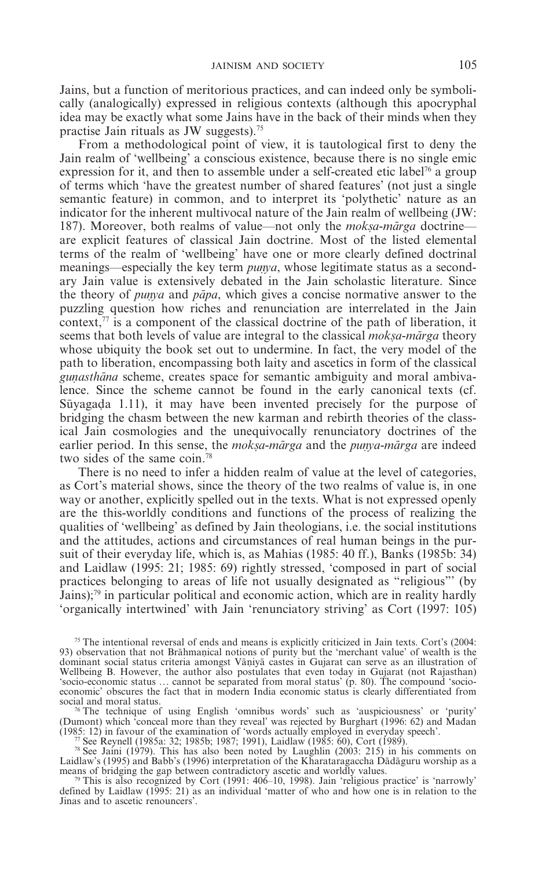Jains, but a function of meritorious practices, and can indeed only be symbolically (analogically) expressed in religious contexts (although this apocryphal idea may be exactly what some Jains have in the back of their minds when they practise Jain rituals as JW suggests).75

From a methodological point of view, it is tautological first to deny the Jain realm of 'wellbeing' a conscious existence, because there is no single emic expression for it, and then to assemble under a self-created etic label<sup>76</sup> a group of terms which 'have the greatest number of shared features' (not just a single semantic feature) in common, and to interpret its 'polythetic' nature as an indicator for the inherent multivocal nature of the Jain realm of wellbeing (JW: 187). Moreover, both realms of value—not only the *moksa-marga* doctrine are explicit features of classical Jain doctrine. Most of the listed elemental terms of the realm of 'wellbeing' have one or more clearly defined doctrinal meanings—especially the key term *punya*, whose legitimate status as a secondary Jain value is extensively debated in the Jain scholastic literature. Since the theory of *punya* and *papa*, which gives a concise normative answer to the puzzling question how riches and renunciation are interrelated in the Jain context, $\frac{7}{7}$  is a component of the classical doctrine of the path of liberation, it seems that both levels of value are integral to the classical *moksa-marga* theory whose ubiquity the book set out to undermine. In fact, the very model of the path to liberation, encompassing both laity and ascetics in form of the classical *gunasthāna* scheme, creates space for semantic ambiguity and moral ambivalence. Since the scheme cannot be found in the early canonical texts (cf. Sūvagada 1.11), it may have been invented precisely for the purpose of bridging the chasm between the new karman and rebirth theories of the classical Jain cosmologies and the unequivocally renunciatory doctrines of the earlier period. In this sense, the *moksa-mārga* and the *punya-mārga* are indeed two sides of the same coin.<sup>78</sup>

There is no need to infer a hidden realm of value at the level of categories, as Cort's material shows, since the theory of the two realms of value is, in one way or another, explicitly spelled out in the texts. What is not expressed openly are the this-worldly conditions and functions of the process of realizing the qualities of 'wellbeing' as defined by Jain theologians, i.e. the social institutions and the attitudes, actions and circumstances of real human beings in the pursuit of their everyday life, which is, as Mahias (1985: 40 ff.), Banks (1985b: 34) and Laidlaw (1995: 21; 1985: 69) rightly stressed, 'composed in part of social practices belonging to areas of life not usually designated as "religious"' (by Jains);<sup>79</sup> in particular political and economic action, which are in reality hardly 'organically intertwined' with Jain 'renunciatory striving' as Cort (1997: 105)

(Dumont) which 'conceal more than they reveal' was rejected by Burghart (1996: 62) and Madan (1985: 12) in favour of the examination of 'words actually employed in everyday speech'.<br>
"See Reynell (1985a: 32; 1985b; 1987; 1991), Laidlaw (1985: 60), Cort (1989).

Laidlaw's (1995) and Babb's (1996) interpretation of the Kharataragaccha Dādāguru worship as a means of bridging the gap between contradictory ascetic and worldly values.<br><sup>79</sup> This is also recognized by Cort (1991: 406–10

defined by Laidlaw (1995: 21) as an individual 'matter of who and how one is in relation to the Jinas and to ascetic renouncers'.

<sup>75</sup> The intentional reversal of ends and means is explicitly criticized in Jain texts. Cort's (2004: 93) observation that not Brāhmanical notions of purity but the 'merchant value' of wealth is the dominant social status criteria amongst Vāṇiyā castes in Gujarat can serve as an illustration of Wellbeing B. However, the author also postulates that even today in Gujarat (not Rajasthan) 'socio-economic status ... cannot be separated from moral status' (p. 80). The compound 'socioeconomic' obscures the fact that in modern India economic status is clearly differentiated from social and moral status.<br><sup>76</sup> The technique of using English 'omnibus words' such as 'auspiciousness' or 'purity'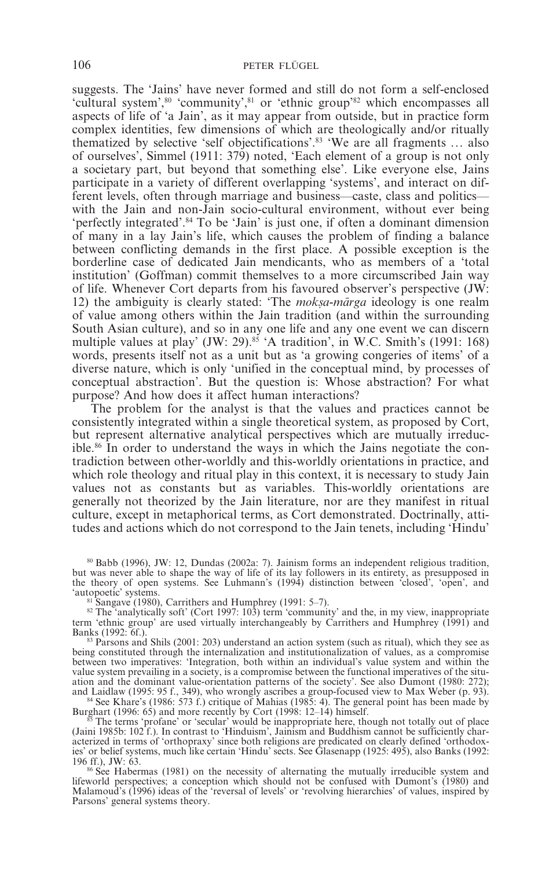suggests. The 'Jains' have never formed and still do not form a self-enclosed 'cultural system',<sup>80</sup> 'community',<sup>81</sup> or 'ethnic group'<sup>82</sup> which encompasses all aspects of life of 'a Jain', as it may appear from outside, but in practice form complex identities, few dimensions of which are theologically and/or ritually thematized by selective 'self objectifications'.83 'We are all fragments ... also of ourselves', Simmel (1911: 379) noted, 'Each element of a group is not only a societary part, but beyond that something else'. Like everyone else, Jains participate in a variety of different overlapping 'systems', and interact on different levels, often through marriage and business—caste, class and politics with the Jain and non-Jain socio-cultural environment, without ever being 'perfectly integrated'.84 To be 'Jain' is just one, if often a dominant dimension of many in a lay Jain's life, which causes the problem of finding a balance between conflicting demands in the first place. A possible exception is the borderline case of dedicated Jain mendicants, who as members of a 'total institution' (Goffman) commit themselves to a more circumscribed Jain way of life. Whenever Cort departs from his favoured observer's perspective (JW: 12) the ambiguity is clearly stated: 'The *moksa-marga* ideology is one realm of value among others within the Jain tradition (and within the surrounding South Asian culture), and so in any one life and any one event we can discern multiple values at play' (JW: 29).<sup>85</sup> 'A tradition', in W.C. Smith's (1991: 168) words, presents itself not as a unit but as 'a growing congeries of items' of a diverse nature, which is only 'unified in the conceptual mind, by processes of conceptual abstraction'. But the question is: Whose abstraction? For what purpose? And how does it affect human interactions?

The problem for the analyst is that the values and practices cannot be consistently integrated within a single theoretical system, as proposed by Cort, but represent alternative analytical perspectives which are mutually irreducible.86 In order to understand the ways in which the Jains negotiate the contradiction between other-worldly and this-worldly orientations in practice, and which role theology and ritual play in this context, it is necessary to study Jain values not as constants but as variables. This-worldly orientations are generally not theorized by the Jain literature, nor are they manifest in ritual culture, except in metaphorical terms, as Cort demonstrated. Doctrinally, attitudes and actions which do not correspond to the Jain tenets, including 'Hindu'

<sup>80</sup> Babb (1996), JW: 12, Dundas (2002a: 7). Jainism forms an independent religious tradition, but was never able to shape the way of life of its lay followers in its entirety, as presupposed in the theory of open systems. See Luhmann's (1994) distinction between 'closed', 'open', and 'autopoetic' systems.

<sup>81</sup> Sangave (1980), Carrithers and Humphrey (1991: 5–7). <sup>82</sup> The 'analytically soft' (Cort 1997: 103) term 'community' and the, in my view, inappropriate term 'ethnic group' are used virtually interchangeably by Carrithers and Humphrey (1991) and<br>Banks (1992: 6f.).

 $83$  Parsons and Shils (2001: 203) understand an action system (such as ritual), which they see as being constituted through the internalization and institutionalization of values, as a compromise between two imperatives: 'Integration, both within an individual's value system and within the value system prevailing in a society, is a compromise between the functional imperatives of the situation and the dominant value-orientation patterns of the society'. See also Dumont (1980: 272); and Laidlaw (1995: 95 f., 349), who wrongly ascribes a group-focused view to Max Weber (p. 93). and Laidlaw (1995: 95 f., 349), who wrongly ascribes a group-focused view to Max Weber (p. 93). <sup>84</sup> See Khare's (1986: 573 f.) critique of Mahias (1985: 4). The general point has been made by

Burghart (1996: 65) and more recently by Cort (1998: 12–14) himself.<br><sup>85</sup> The terms 'profane' or 'secular' would be inappropriate here, though not totally out of place

(Jaini 1985b: 102 f.). In contrast to 'Hinduism', Jainism and Buddhism cannot be sufficiently characterized in terms of 'orthopraxy' since both religions are predicated on clearly defined 'orthodox-ies' or belief systems, much like certain 'Hindu' sects. See Glasenapp (1925: 495), also Banks (1992:

196 ff.), JW: 63. 886 See Habermas (1981) on the necessity of alternating the mutually irreducible system and lifeworld perspectives; a conception which should not be confused with Dumont's (1980) and Malamoud's (1996) ideas of the 'reversal of levels' or 'revolving hierarchies' of values, inspired by Parsons' general systems theory.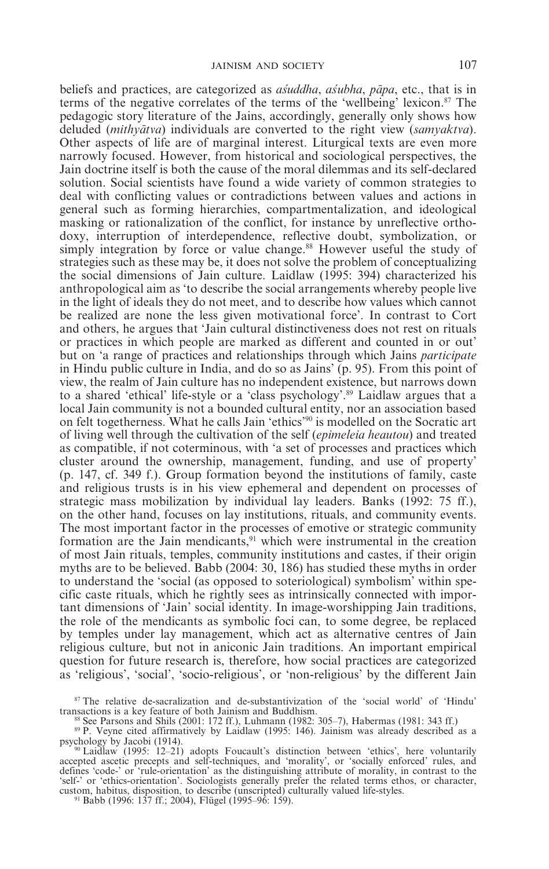beliefs and practices, are categorized as *as addha*, *as abida*, *papa*, etc., that is in terms of the negative correlates of the terms of the 'wellbeing' lexicon.<sup>87</sup> The pedagogic story literature of the Jains, accordingly, generally only shows how deluded (*mithya*m*tva*) individuals are converted to the right view (*samyaktva*). Other aspects of life are of marginal interest. Liturgical texts are even more narrowly focused. However, from historical and sociological perspectives, the Jain doctrine itself is both the cause of the moral dilemmas and its self-declared solution. Social scientists have found a wide variety of common strategies to deal with conflicting values or contradictions between values and actions in general such as forming hierarchies, compartmentalization, and ideological masking or rationalization of the conflict, for instance by unreflective orthodoxy, interruption of interdependence, reflective doubt, symbolization, or simply integration by force or value change.<sup>88</sup> However useful the study of strategies such as these may be, it does not solve the problem of conceptualizing the social dimensions of Jain culture. Laidlaw (1995: 394) characterized his anthropological aim as 'to describe the social arrangements whereby people live in the light of ideals they do not meet, and to describe how values which cannot be realized are none the less given motivational force'. In contrast to Cort and others, he argues that 'Jain cultural distinctiveness does not rest on rituals or practices in which people are marked as different and counted in or out' but on 'a range of practices and relationships through which Jains *participate* in Hindu public culture in India, and do so as Jains' (p. 95). From this point of view, the realm of Jain culture has no independent existence, but narrows down to a shared 'ethical' life-style or a 'class psychology'.89 Laidlaw argues that a local Jain community is not a bounded cultural entity, nor an association based on felt togetherness. What he calls Jain 'ethics'90 is modelled on the Socratic art of living well through the cultivation of the self (*epimeleia heautou*) and treated as compatible, if not coterminous, with 'a set of processes and practices which cluster around the ownership, management, funding, and use of property' (p. 147, cf. 349 f.). Group formation beyond the institutions of family, caste and religious trusts is in his view ephemeral and dependent on processes of strategic mass mobilization by individual lay leaders. Banks (1992: 75 ff.), on the other hand, focuses on lay institutions, rituals, and community events. The most important factor in the processes of emotive or strategic community formation are the Jain mendicants, $91$  which were instrumental in the creation of most Jain rituals, temples, community institutions and castes, if their origin myths are to be believed. Babb (2004: 30, 186) has studied these myths in order to understand the 'social (as opposed to soteriological) symbolism' within specific caste rituals, which he rightly sees as intrinsically connected with important dimensions of 'Jain' social identity. In image-worshipping Jain traditions, the role of the mendicants as symbolic foci can, to some degree, be replaced by temples under lay management, which act as alternative centres of Jain religious culture, but not in aniconic Jain traditions. An important empirical question for future research is, therefore, how social practices are categorized as 'religious', 'social', 'socio-religious', or 'non-religious' by the different Jain

 $87$  The relative de-sacralization and de-substantivization of the 'social world' of 'Hindu' transactions is a key feature of both Jainism and Buddhism.

<sup>88</sup> See Parsons and Shils (2001: 172 ff.), Luhmann (1982: 305–7), Habermas (1981: 343 ff.)<br><sup>89</sup> P. Veyne cited affirmatively by Laidlaw (1995: 146). Jainism was already described as a psychology by Jacobi (1914). psychology by Jacobi (1914). <sup>90</sup> Laidlaw (1995: 12–21) adopts Foucault's distinction between 'ethics', here voluntarily

accepted ascetic precepts and self-techniques, and 'morality', or 'socially enforced' rules, and defines 'code-' or 'rule-orientation' as the distinguishing attribute of morality, in contrast to the 'self-' or 'ethics-orientation'. Sociologists generally prefer the related terms ethos, or character, custom, habitus, disposition, to describe (unscripted) culturally valued life-styles. <sup>91</sup> Babb (1996: 137 ff.; 2004), Flügel (1995–96: 159).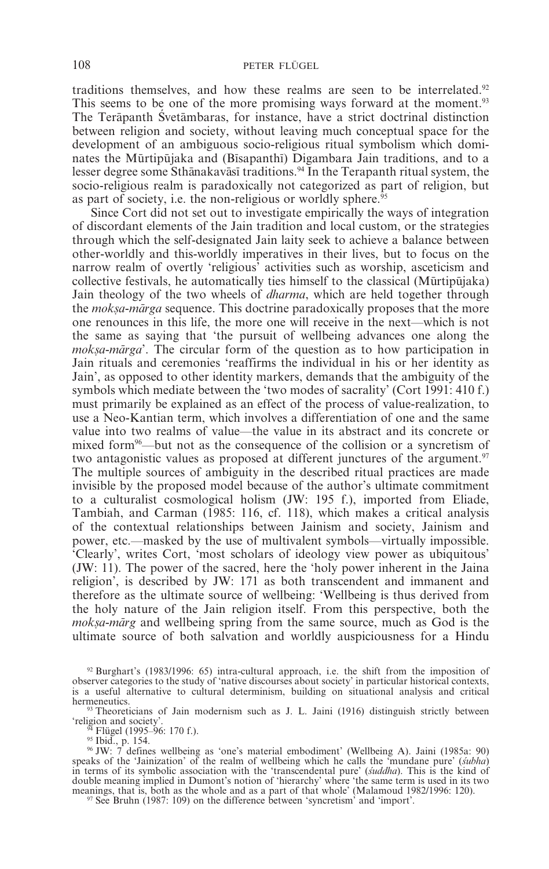traditions themselves, and how these realms are seen to be interrelated.<sup>92</sup> This seems to be one of the more promising ways forward at the moment.<sup>93</sup> The Terāpanth Svetāmbaras, for instance, have a strict doctrinal distinction between religion and society, without leaving much conceptual space for the development of an ambiguous socio-religious ritual symbolism which dominates the Mūrtipūjaka and (Bīsapanthī) Digambara Jain traditions, and to a lesser degree some Sthānakavāsī traditions.<sup>94</sup> In the Terapanth ritual system, the socio-religious realm is paradoxically not categorized as part of religion, but as part of society, i.e. the non-religious or worldly sphere. $95$ 

Since Cort did not set out to investigate empirically the ways of integration of discordant elements of the Jain tradition and local custom, or the strategies through which the self-designated Jain laity seek to achieve a balance between other-worldly and this-worldly imperatives in their lives, but to focus on the narrow realm of overtly 'religious' activities such as worship, asceticism and  $\alpha$  collective festivals, he automatically ties himself to the classical (Murtipulaka) Jain theology of the two wheels of *dharma*, which are held together through the *moksa-marga* sequence. This doctrine paradoxically proposes that the more one renounces in this life, the more one will receive in the next—which is not the same as saying that 'the pursuit of wellbeing advances one along the *moksa-mārga*'. The circular form of the question as to how participation in Jain rituals and ceremonies 'reaffirms the individual in his or her identity as Jain', as opposed to other identity markers, demands that the ambiguity of the symbols which mediate between the 'two modes of sacrality' (Cort 1991: 410 f.) must primarily be explained as an effect of the process of value-realization, to use a Neo-Kantian term, which involves a differentiation of one and the same value into two realms of value—the value in its abstract and its concrete or mixed form96—but not as the consequence of the collision or a syncretism of two antagonistic values as proposed at different junctures of the argument.<sup>97</sup> The multiple sources of ambiguity in the described ritual practices are made invisible by the proposed model because of the author's ultimate commitment to a culturalist cosmological holism (JW: 195 f.), imported from Eliade, Tambiah, and Carman (1985: 116, cf. 118), which makes a critical analysis of the contextual relationships between Jainism and society, Jainism and power, etc.—masked by the use of multivalent symbols—virtually impossible. 'Clearly', writes Cort, 'most scholars of ideology view power as ubiquitous' (JW: 11). The power of the sacred, here the 'holy power inherent in the Jaina religion', is described by JW: 171 as both transcendent and immanent and therefore as the ultimate source of wellbeing: 'Wellbeing is thus derived from the holy nature of the Jain religion itself. From this perspective, both the *moksa-marg* and wellbeing spring from the same source, much as God is the ultimate source of both salvation and worldly auspiciousness for a Hindu

<sup>92</sup> Burghart's (1983/1996: 65) intra-cultural approach, i.e. the shift from the imposition of observer categories to the study of 'native discourses about society' in particular historical contexts, is a useful alternative to cultural determinism, building on situational analysis and critical

<sup>93</sup> Theoreticians of Jain modernism such as J. L. Jaini (1916) distinguish strictly between 'religion and society'.

freligion and society'.<br><sup>94</sup> Flügel (1995–96: 170 f.).<br><sup>95</sup> Ibid., p. 154.<br><sup>96</sup> IW: 7 defines wellbeing as 'one's material embodiment' (Wellbeing A). Jaini (1985a: 90)<br>speaks of the 'Jainization' of the realm of wellbeing in terms of its symbolic association with the 'transcendental pure' (*s*a*uddha*). This is the kind of double meaning implied in Dumont's notion of 'hierarchy' where 'the same term is used in its two<br>meanings, that is, both as the whole and as a part of that whole' (Malamoud 1982/1996: 120).<br><sup>97</sup> See Bruhn (1987: 109) on th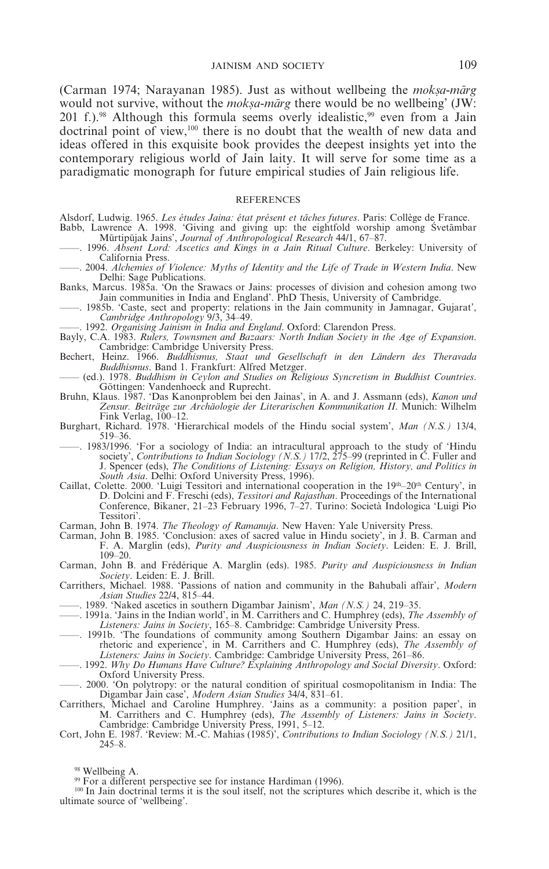(Carman 1974; Narayanan 1985). Just as without wellbeing the *moksa-marg* would not survive, without the *moksa-marg* there would be no wellbeing' (JW: 201 f.).<sup>98</sup> Although this formula seems overly idealistic,<sup>99</sup> even from a Jain doctrinal point of view,100 there is no doubt that the wealth of new data and ideas offered in this exquisite book provides the deepest insights yet into the contemporary religious world of Jain laity. It will serve for some time as a paradigmatic monograph for future empirical studies of Jain religious life.

## **REFERENCES**

- Alsdorf, Ludwig. 1965. *Les études Jaina: état présent et tâches futures*. Paris: Collège de France. Babb, Lawrence A. 1998. 'Giving and giving up: the eightfold worship among Svetambar<br>Murtipujak Jains', *Journal of Anthropological Research* 44/1, 67–87.
- ——. 1996. *Absent Lord: Ascetics and Kings in a Jain Ritual Culture*. Berkeley: University of California Press.
- ——. 2004. *Alchemies of Violence: Myths of Identity and the Life of Trade in Western India*. New Delhi: Sage Publications.
- Banks, Marcus. 1985a. 'On the Srawacs or Jains: processes of division and cohesion among two Jain communities in India and England'. PhD Thesis, University of Cambridge.
- ——. 1985b. 'Caste, sect and property: relations in the Jain community in Jamnagar, Gujarat', *Cambridge Anthropology* 9/3, 34–49.
- ——. 1992. *Organising Jainism in India and England*. Oxford: Clarendon Press.
- Bayly, C.A. 1983. *Rulers, Townsmen and Bazaars: North Indian Society in the Age of Expansion*. Cambridge: Cambridge University Press.
- Bechert, Heinz. 1966. *Buddhismus, Staat und Gesellschaft in den Ländern des Theravada Buddhismus*. Band 1. Frankfurt: Alfred Metzger.
- —— (ed.). 1978. *Buddhism in Ceylon and Studies on Religious Syncretism in Buddhist Countries*. Göttingen: Vandenhoeck and Ruprecht.
- Bruhn, Klaus. 1987. 'Das Kanonproblem bei den Jainas', in A. and J. Assmann (eds), *Kanon und Zensur. Beiträge zur Archäologie der Literarischen Kommunikation II*. Munich: Wilhelm Fink Verlag, 100–12. Burghart, Richard. 1978. 'Hierarchical models of the Hindu social system', *Man (N.S.)* 13/4,
- 519–36.
- ——. 1983/1996. 'For a sociology of India: an intracultural approach to the study of 'Hindu society', *Contributions to Indian Sociology (N.S.)* 17/2, 275–99 (reprinted in C. Fuller and J. Spencer (eds), *The Conditions of Listening: Essays on Religion, History, and Politics in South Asia*. Delhi: Oxford University Press, 1996).
- Caillat, Colette. 2000. 'Luigi Tessitori and international cooperation in the  $19<sup>th</sup>$ –20<sup>th</sup> Century', in D. Dolcini and F. Freschi (eds), *Tessitori and Rajasthan*. Proceedings of the International Conference, Bikaner, 21–23 February 1996, 7–27. Turino: Società Indologica 'Luigi Pio Tessitori'.
- Carman, John B. 1974. *The Theology of Ramanuja*. New Haven: Yale University Press.
- Carman, John B. 1985. 'Conclusion: axes of sacred value in Hindu society', in J. B. Carman and F. A. Marglin (eds), *Purity and Auspiciousness in Indian Society*. Leiden: E. J. Brill, 109–20.
- Carman, John B. and Frédérique A. Marglin (eds). 1985. *Purity and Auspiciousness in Indian Society*. Leiden: E. J. Brill. Carrithers, Michael. 1988. 'Passions of nation and community in the Bahubali affair', *Modern*
- *Asian Studies* 22/4, 815–44.
- ——. 1989. 'Naked ascetics in southern Digambar Jainism', *Man (N.S.)* 24, 219–35.
- ——. 1991a. 'Jains in the Indian world', in M. Carrithers and C. Humphrey (eds), *The Assembly of Listeners: Jains in Society*, 165–8. Cambridge: Cambridge University Press.
- ——. 1991b. 'The foundations of community among Southern Digambar Jains: an essay on rhetoric and experience', in M. Carrithers and C. Humphrey (eds), *The Assembly of Listeners: Jains in Society*. Cambridge: Cambridge University Press, 261–86.
- ——. 1992. *Why Do Humans Have Culture? Explaining Anthropology and Social Diversity*. Oxford: Oxford University Press.
- ——. 2000. 'On polytropy: or the natural condition of spiritual cosmopolitanism in India: The Digambar Jain case', *Modern Asian Studies* 34/4, 831–61.
- Carrithers, Michael and Caroline Humphrey. 'Jains as a community: a position paper', in M. Carrithers and C. Humphrey (eds), *The Assembly of Listeners: Jains in Society*.
- Cambridge: Cambridge University Press, 1991, 5–12. Cort, John E. 1987. 'Review: M.-C. Mahias (1985)', *Contributions to Indian Sociology (N.S.)* 21/1, 245–8.

<sup>&</sup>lt;sup>98</sup> Wellbeing A.<br><sup>99</sup> For a different perspective see for instance Hardiman (1996).<br><sup>100</sup> In Jain doctrinal terms it is the soul itself, not the scriptures which describe it, which is the ultimate source of 'wellbeing'.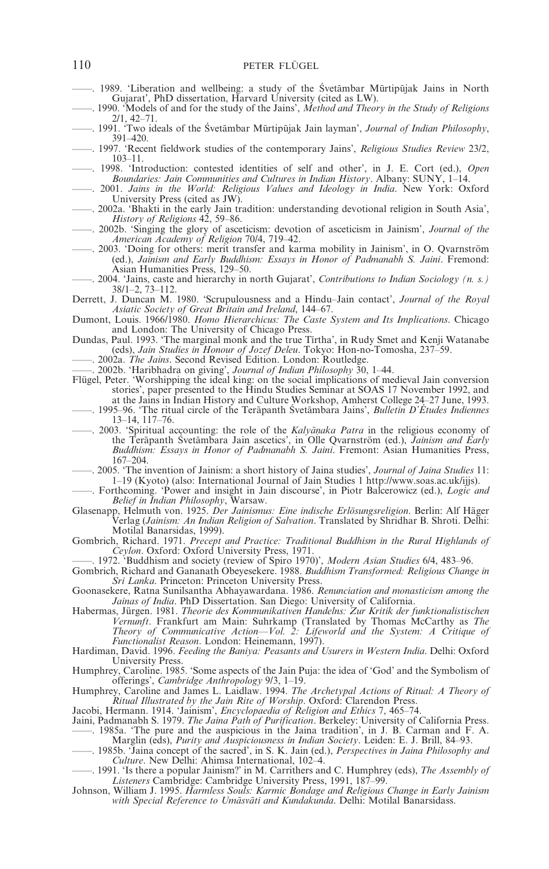- —. 1989. 'Liberation and wellbeing: a study of the Śvetāmbar Mūrtipūjak Jains in North Gujarat', PhD dissertation, Harvard University (cited as LW).
- ——. 1990. 'Models of and for the study of the Jains', *Method and Theory in the Study of Religions* 2/1, 42–71.
- -. 1991. 'Two ideals of the Śvetāmbar Mūrtipūjak Jain layman', *Journal of Indian Philosophy*, 391–420.
- ——. 1997. 'Recent fieldwork studies of the contemporary Jains', *Religious Studies Review* 23/2, 103–11.
- ——. 1998. 'Introduction: contested identities of self and other', in J. E. Cort (ed.), *Open Boundaries: Jain Communities and Cultures in Indian History*. Albany: SUNY, 1–14.
- ——. 2001. *Jains in the World: Religious Values and Ideology in India*. New York: Oxford University Press (cited as JW).
- ——. 2002a. 'Bhakti in the early Jain tradition: understanding devotional religion in South Asia', *History of Religions* 42, 59–86.
- ——. 2002b. 'Singing the glory of asceticism: devotion of asceticism in Jainism', *Journal of the American Academy of Religion* 70/4, 719–42.
	- ——. 2003. 'Doing for others: merit transfer and karma mobility in Jainism', in O. Qvarnström (ed.), *Jainism and Early Buddhism: Essays in Honor of Padmanabh S. Jaini*. Fremond: Asian Humanities Press, 129–50.
- ——. 2004. 'Jains, caste and hierarchy in north Gujarat', *Contributions to Indian Sociology (n. s.)* 38/1–2, 73–112.
- Derrett, J. Duncan M. 1980. 'Scrupulousness and a Hindu–Jain contact', *Journal of the Royal Asiatic Society of Great Britain and Ireland*, 144–67.
- Dumont, Louis. 1966/1980. *Homo Hierarchicus: The Caste System and Its Implications*. Chicago and London: The University of Chicago Press.
- Dundas, Paul. 1993. 'The marginal monk and the true Tirtha', in Rudy Smet and Kenji Watanabe (eds), *Jain Studies in Honour of Jozef Deleu*. Tokyo: Hon-no-Tomosha, 237–59.
- ——. 2002a. *The Jains*. Second Revised Edition. London: Routledge.
- ——. 2002b. 'Haribhadra on giving', *Journal of Indian Philosophy* 30, 1–44.
- Flügel, Peter. 'Worshipping the ideal king: on the social implications of medieval Jain conversion stories', paper presented to the Hindu Studies Seminar at SOAS 17 November 1992, and
- at the Jains in Indian History and Culture Workshop, Amherst College 24–27 June, 1993.<br>1995–96. 'The ritual circle of the Terāpanth Śvetāmbara Jains', *Bulletin D'Études Indiennes* 13–14, 117–76.
- ——. 2003. 'Spiritual accounting: the role of the *Kalyanaka Patra* in the religious economy of the Terāpanth Śvetāmbara Jain ascetics', in Olle Qvarnström (ed.), *Jainism and Early*<br>*Buddhism: Essays in Honor of Padmanabh S. Jaini*. Fremont: Asian Humanities Press, 167–204.
- ——. 2005. 'The invention of Jainism: a short history of Jaina studies', *Journal of Jaina Studies* 11: 1–19 (Kyoto) (also: International Journal of Jain Studies 1 http://www.soas.ac.uk/ijjs).
- ——. Forthcoming. 'Power and insight in Jain discourse', in Piotr Balcerowicz (ed.), *Logic and Belief in Indian Philosophy*, Warsaw.
- Glasenapp, Helmuth von. 1925. *Der Jainismus: Eine indische Erlösungsreligion*. Berlin: Alf Häger Verlag (*Jainism: An Indian Religion of Salvation*. Translated by Shridhar B. Shroti. Delhi: Motilal Banarsidas, 1999).
- Gombrich, Richard. 1971. *Precept and Practice: Traditional Buddhism in the Rural Highlands of Ceylon*. Oxford: Oxford University Press, 1971.
- ——. 1972. 'Buddhism and society (review of Spiro 1970)', *Modern Asian Studies* 6/4, 483–96.
- Gombrich, Richard and Gananath Obeyesekere. 1988. *Buddhism Transformed: Religious Change in Sri Lanka*. Princeton: Princeton University Press.
- Goonasekere, Ratna Sunilsantha Abhayawardana. 1986. *Renunciation and monasticism among the Jainas of India*. PhD Dissertation. San Diego: University of California.
- Habermas, Jürgen. 1981. *Theorie des Kommunikativen Handelns: Zur Kritik der funktionalistischen Vernunft*. Frankfurt am Main: Suhrkamp (Translated by Thomas McCarthy as *The Theory of Communicative Action—Vol. 2: Lifeworld and the System: A Critique of Functionalist Reason*. London: Heinemann, 1997).
- Hardiman, David. 1996. *Feeding the Baniya: Peasants and Usurers in Western India*. Delhi: Oxford University Press.
- Humphrey, Caroline. 1985. 'Some aspects of the Jain Puja: the idea of 'God' and the Symbolism of offerings', *Cambridge Anthropology* 9/3, 1–19.
- Humphrey, Caroline and James L. Laidlaw. 1994. *The Archetypal Actions of Ritual: A Theory of Ritual Illustrated by the Jain Rite of Worship*. Oxford: Clarendon Press. Jacobi, Hermann. 1914. 'Jainism', *Encyclopaedia of Religion and Ethics* 7, 465–74.

- Jaini, Padmanabh S. 1979. *The Jaina Path of Purification*. Berkeley: University of California Press.
- ——. 1985a. 'The pure and the auspicious in the Jaina tradition', in J. B. Carman and F. A. Marglin (eds), *Purity and Auspiciousness in Indian Society*. Leiden: E. J. Brill, 84–93.
- ——. 1985b. 'Jaina concept of the sacred', in S. K. Jain (ed.), *Perspectives in Jaina Philosophy and Culture*. New Delhi: Ahimsa International, 102–4.
- ——. 1991. 'Is there a popular Jainism?' in M. Carrithers and C. Humphrey (eds), *The Assembly of Listeners* Cambridge: Cambridge University Press, 1991, 187–99.
- Johnson, William J. 1995. *Harmless Souls: Karmic Bondage and Religious Change in Early Jainism* with Special Reference to Umāsvāti and Kundakunda. Delhi: Motilal Banarsidass.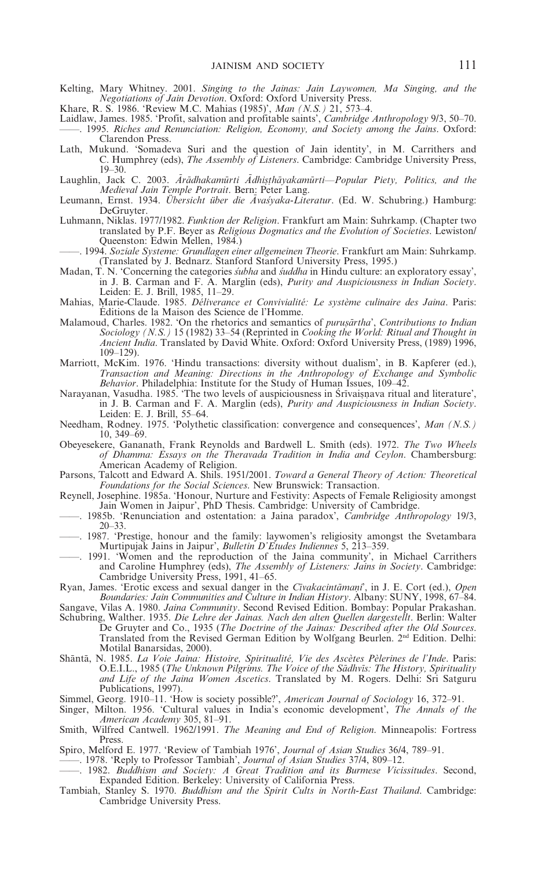Kelting, Mary Whitney. 2001. *Singing to the Jainas: Jain Laywomen, Ma Singing, and the Negotiations of Jain Devotion*. Oxford: Oxford University Press.

Khare, R. S. 1986. 'Review M.C. Mahias (1985)', *Man (N.S.)* 21, 573–4.

- Laidlaw, James. 1985. 'Profit, salvation and profitable saints', *Cambridge Anthropology* 9/3, 50–70. ——. 1995. *Riches and Renunciation: Religion, Economy, and Society among the Jains*. Oxford: Clarendon Press.
- Lath, Mukund. 'Somadeva Suri and the question of Jain identity', in M. Carrithers and C. Humphrey (eds), *The Assembly of Listeners*. Cambridge: Cambridge University Press, 19–30.
- Laughlin, Jack C. 2003. *Arādhakamūrti Adhisthāyakamūrti—Popular Piety, Politics, and the Medieval Jain Temple Portrait*. Bern: Peter Lang.
- Leumann, Ernst. 1934. *Übersicht über die Ävasyaka-Literatur*. (Ed. W. Schubring.) Hamburg: DeGruyter.
- Luhmann, Niklas. 1977/1982. *Funktion der Religion*. Frankfurt am Main: Suhrkamp. (Chapter two translated by P.F. Beyer as *Religious Dogmatics and the Evolution of Societies*. Lewiston/ Queenston: Edwin Mellen, 1984.)
- ——. 1994. *Soziale Systeme: Grundlagen einer allgemeinen Theorie*. Frankfurt am Main: Suhrkamp. (Translated by J. Bednarz. Stanford Stanford University Press, 1995.)
- Madan, T. N. 'Concerning the categories *s*a*ubha* and *s*a*uddha* in Hindu culture: an exploratory essay', in J. B. Carman and F. A. Marglin (eds), *Purity and Auspiciousness in Indian Society*. Leiden: E. J. Brill, 1985, 11–29.
- Mahias, Marie-Claude. 1985. *Déliverance et Convivialité: Le système culinaire des Jaina*. Paris: Éditions de la Maison des Science de l'Homme.
- Malamoud, Charles. 1982. 'On the rhetorics and semantics of *purusārtha*', *Contributions to Indian Sociology (N.S.)* 15 (1982) 33–54 (Reprinted in *Cooking the World: Ritual and Thought in Ancient India*. Translated by David White. Oxford: Oxford University Press, (1989) 1996, 109–129).
- Marriott, McKim. 1976. 'Hindu transactions: diversity without dualism', in B. Kapferer (ed.), *Transaction and Meaning: Directions in the Anthropology of Exchange and Symbolic Behavior*. Philadelphia: Institute for the Study of Human Issues, 109–42.
- Narayanan, Vasudha. 1985. 'The two levels of auspiciousness in Śrīvaisnava ritual and literature', in J. B. Carman and F. A. Marglin (eds), *Purity and Auspiciousness in Indian Society*. Leiden: E. J. Brill, 55–64.
- Needham, Rodney. 1975. 'Polythetic classification: convergence and consequences', *Man (N.S.)* 10, 349–69.
- Obeyesekere, Gananath, Frank Reynolds and Bardwell L. Smith (eds). 1972. *The Two Wheels of Dhamma: Essays on the Theravada Tradition in India and Ceylon*. Chambersburg: American Academy of Religion.
- Parsons, Talcott and Edward A. Shils. 1951/2001. *Toward a General Theory of Action: Theoretical Foundations for the Social Sciences*. New Brunswick: Transaction.
- Reynell, Josephine. 1985a. 'Honour, Nurture and Festivity: Aspects of Female Religiosity amongst Jain Women in Jaipur', PhD Thesis. Cambridge: University of Cambridge.
- ——. 1985b. 'Renunciation and ostentation: a Jaina paradox', *Cambridge Anthropology* 19/3, 20–33.
- ——. 1987. 'Prestige, honour and the family: laywomen's religiosity amongst the Svetambara Murtipujak Jains in Jaipur', *Bulletin D'Etudes Indiennes* 5, 213–359.
- ——. 1991. 'Women and the reproduction of the Jaina community', in Michael Carrithers and Caroline Humphrey (eds), *The Assembly of Listeners: Jains in Society*. Cambridge: Cambridge University Press, 1991, 41-65.
- Ryan, James. 'Erotic excess and sexual danger in the *Civakacintamani*', in J. E. Cort (ed.), *Open Boundaries: Jain Communities and Culture in Indian History*. Albany: SUNY, 1998, 67–84.
- Sangave, Vilas A. 1980. *Jaina Community*. Second Revised Edition. Bombay: Popular Prakashan. Schubring, Walther. 1935. *Die Lehre der Jainas. Nach den alten Quellen dargestellt*. Berlin: Walter
- De Gruyter and Co., 1935 (*The Doctrine of the Jainas: Described after the Old Sources*. Translated from the Revised German Edition by Wolfgang Beurlen. 2nd Edition. Delhi: Motilal Banarsidas, 2000).
- Shāntā, N. 1985. *La Voie Jaina: Histoire, Spiritualité, Vie des Ascètes Pèlerines de l'Inde*. Paris: O.E.I.L., 1985 (*The Unknown Pilgrims. The Voice of the Sa*m*dhv*i*s: The History, Spirituality and Life of the Jaina Women Ascetics*. Translated by M. Rogers. Delhi: Sri Satguru Publications, 1997).
- Simmel, Georg. 1910–11. 'How is society possible?', *American Journal of Sociology* 16, 372–91.
- Singer, Milton. 1956. 'Cultural values in India's economic development', *The Annals of the American Academy* 305, 81–91.
- Smith, Wilfred Cantwell. 1962/1991. *The Meaning and End of Religion*. Minneapolis: Fortress Press.
- Spiro, Melford E. 1977. 'Review of Tambiah 1976', *Journal of Asian Studies* 36/4, 789–91.
	- ——. 1978. 'Reply to Professor Tambiah', *Journal of Asian Studies* 37/4, 809–12.
- ——. 1982. *Buddhism and Society: A Great Tradition and its Burmese Vicissitudes*. Second, Expanded Edition. Berkeley: University of California Press.
- Tambiah, Stanley S. 1970. *Buddhism and the Spirit Cults in North-East Thailand*. Cambridge: Cambridge University Press.